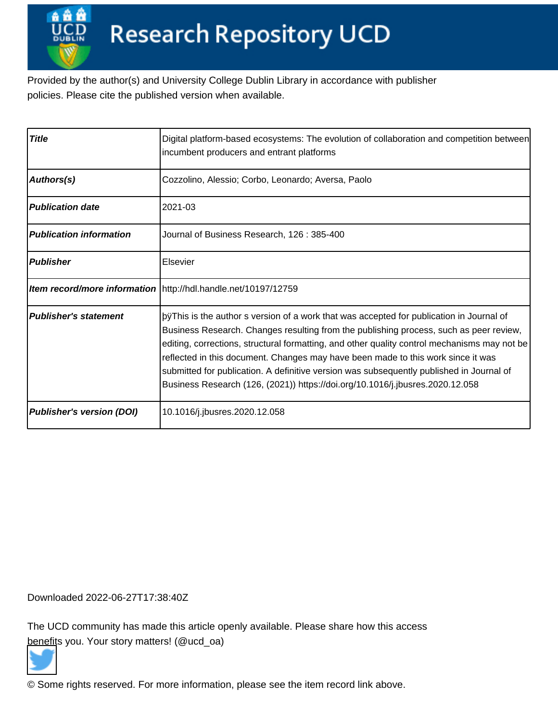Provided by the author(s) and University College Dublin Library in accordance with publisher policies. Please cite the published version when available.

| <b>Title</b>                 | Digital platform-based ecosystems: The evolution of collaboration and competition between<br>incumbent producers and entrant platforms                                                                                                                                                                                                                                                                                                                                                                                   |  |
|------------------------------|--------------------------------------------------------------------------------------------------------------------------------------------------------------------------------------------------------------------------------------------------------------------------------------------------------------------------------------------------------------------------------------------------------------------------------------------------------------------------------------------------------------------------|--|
| <b>Authors(s)</b>            | Cozzolino, Alessio; Corbo, Leonardo; Aversa, Paolo                                                                                                                                                                                                                                                                                                                                                                                                                                                                       |  |
| Publication date             | 2021-03                                                                                                                                                                                                                                                                                                                                                                                                                                                                                                                  |  |
| Publication information      | Journal of Business Research, 126: 385-400                                                                                                                                                                                                                                                                                                                                                                                                                                                                               |  |
| Publisher                    | Elsevier                                                                                                                                                                                                                                                                                                                                                                                                                                                                                                                 |  |
|                              | Item record/more information   http://hdl.handle.net/10197/12759                                                                                                                                                                                                                                                                                                                                                                                                                                                         |  |
| <b>Publisher's statement</b> | þÿThis is the author s version of a work that was accepted fo<br>Business Research. Changes resulting from the publishing process, such as peer review,<br>editing, corrections, structural formatting, and other quality control mechanisms may not be<br>reflected in this document. Changes may have been made to this work since it was<br>submitted for publication. A definitive version was subsequently published in Journal of<br>Business Research (126, (2021)) https://doi.org/10.1016/j.jbusres.2020.12.058 |  |
| Publisher's version (DOI)    | 10.1016/j.jbusres.2020.12.058                                                                                                                                                                                                                                                                                                                                                                                                                                                                                            |  |

Downloaded 2022-06-27T17:38:40Z

The UCD community has made this article openly available. Please share how this access [benefit](https://twitter.com/intent/tweet?via=ucd_oa&text=DOI%3A10.1016%2Fj.jbusres.2020.12.058&url=http%3A%2F%2Fhdl.handle.net%2F10197%2F12759)s you. Your story matters! (@ucd\_oa)



© Some rights reserved. For more information, please see the item record link above.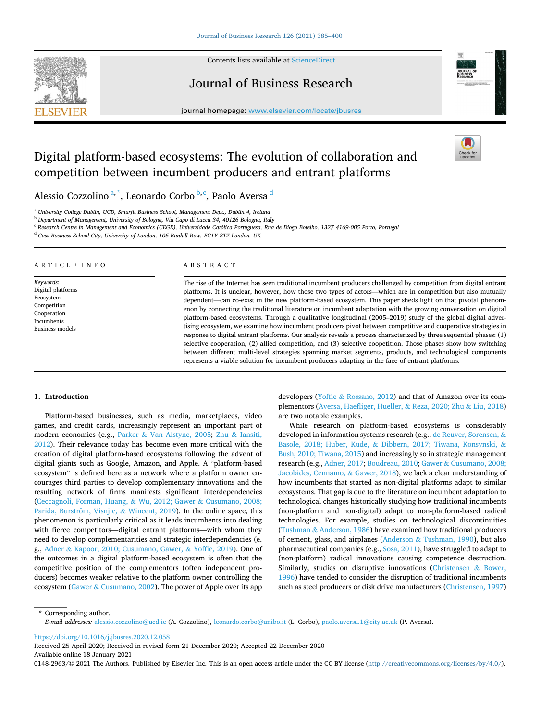

Contents lists available at [ScienceDirect](www.sciencedirect.com/science/journal/01482963)

## Journal of Business Research



journal homepage: [www.elsevier.com/locate/jbusres](https://www.elsevier.com/locate/jbusres)

# Digital platform-based ecosystems: The evolution of collaboration and competition between incumbent producers and entrant platforms

Alessio Cozzolino<sup>a,\*</sup>, Leonardo Corbo<sup>b,c</sup>, Paolo Aversa <sup>d</sup>

<sup>a</sup> *University College Dublin, UCD, Smurfit Business School, Management Dept., Dublin 4, Ireland* 

<sup>b</sup> *Department of Management, University of Bologna, Via Capo di Lucca 34, 40126 Bologna, Italy* 

<sup>c</sup> Research Centre in Management and Economics (CEGE), Universidade Católica Portuguesa, Rua de Diogo Botelho, 1327 4169-005 Porto, Portugal

<sup>d</sup> *Cass Business School City, University of London, 106 Bunhill Row, EC1Y 8TZ London, UK* 

#### ARTICLE INFO

*Keywords:*  Digital platforms Ecosystem Competition Cooperation Incumbents Business models

#### ABSTRACT

The rise of the Internet has seen traditional incumbent producers challenged by competition from digital entrant platforms. It is unclear, however, how those two types of actors—which are in competition but also mutually dependent—can co-exist in the new platform-based ecosystem. This paper sheds light on that pivotal phenomenon by connecting the traditional literature on incumbent adaptation with the growing conversation on digital platform-based ecosystems. Through a qualitative longitudinal (2005–2019) study of the global digital advertising ecosystem, we examine how incumbent producers pivot between competitive and cooperative strategies in response to digital entrant platforms. Our analysis reveals a process characterized by three sequential phases: (1) selective cooperation, (2) allied competition, and (3) selective coopetition. Those phases show how switching between different multi-level strategies spanning market segments, products, and technological components represents a viable solution for incumbent producers adapting in the face of entrant platforms.

#### **1. Introduction**

Platform-based businesses, such as media, marketplaces, video games, and credit cards, increasingly represent an important part of modern economies (e.g., Parker & Van Alstyne, 2005; Zhu & Iansiti, 2012). Their relevance today has become even more critical with the creation of digital platform-based ecosystems following the advent of digital giants such as Google, Amazon, and Apple. A "platform-based ecosystem" is defined here as a network where a platform owner encourages third parties to develop complementary innovations and the resulting network of firms manifests significant interdependencies (Ceccagnoli, Forman, Huang, & Wu, 2012; Gawer & Cusumano, 2008; Parida, Burström, Visnjic, & Wincent, 2019). In the online space, this phenomenon is particularly critical as it leads incumbents into dealing with fierce competitors—digital entrant platforms—with whom they need to develop complementarities and strategic interdependencies (e. g., Adner & Kapoor, 2010; Cusumano, Gawer, & Yoffie, 2019). One of the outcomes in a digital platform-based ecosystem is often that the competitive position of the complementors (often independent producers) becomes weaker relative to the platform owner controlling the ecosystem (Gawer & Cusumano, 2002). The power of Apple over its app developers (Yoffie & Rossano, 2012) and that of Amazon over its complementors (Aversa, Haefliger, Hueller, & Reza, 2020; Zhu & Liu, 2018) are two notable examples.

While research on platform-based ecosystems is considerably developed in information systems research (e.g., de Reuver, Sorensen, & Basole, 2018; Huber, Kude, & Dibbern, 2017; Tiwana, Konsynski, & Bush, 2010; Tiwana, 2015) and increasingly so in strategic management research (e.g., Adner, 2017; Boudreau, 2010; Gawer & Cusumano, 2008; Jacobides, Cennamo, & Gawer, 2018), we lack a clear understanding of how incumbents that started as non-digital platforms adapt to similar ecosystems. That gap is due to the literature on incumbent adaptation to technological changes historically studying how traditional incumbents (non-platform and non-digital) adapt to non-platform-based radical technologies. For example, studies on technological discontinuities (Tushman & Anderson, 1986) have examined how traditional producers of cement, glass, and airplanes (Anderson & Tushman, 1990), but also pharmaceutical companies (e.g., Sosa, 2011), have struggled to adapt to (non-platform) radical innovations causing competence destruction. Similarly, studies on disruptive innovations (Christensen & Bower, 1996) have tended to consider the disruption of traditional incumbents such as steel producers or disk drive manufacturers (Christensen, 1997)

\* Corresponding author. *E-mail addresses:* [alessio.cozzolino@ucd.ie](mailto:alessio.cozzolino@ucd.ie) (A. Cozzolino), [leonardo.corbo@unibo.it](mailto:leonardo.corbo@unibo.it) (L. Corbo), [paolo.aversa.1@city.ac.uk](mailto:paolo.aversa.1@city.ac.uk) (P. Aversa).

<https://doi.org/10.1016/j.jbusres.2020.12.058>

Available online 18 January 2021 0148-2963/©2021 The Authors. Published by Elsevier Inc. This is an open access article under the CC BY license (<http://creativecommons.org/licenses/by/4.0/>). Received 25 April 2020; Received in revised form 21 December 2020; Accepted 22 December 2020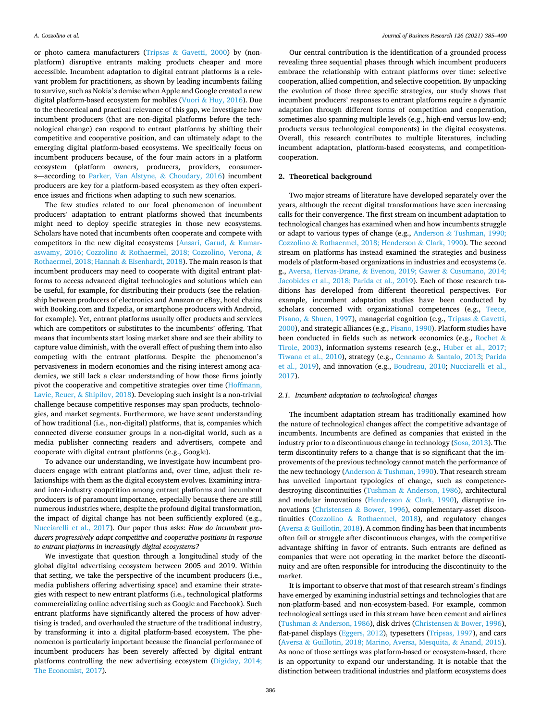or photo camera manufacturers (Tripsas & Gavetti, 2000) by (nonplatform) disruptive entrants making products cheaper and more accessible. Incumbent adaptation to digital entrant platforms is a relevant problem for practitioners, as shown by leading incumbents failing to survive, such as Nokia's demise when Apple and Google created a new digital platform-based ecosystem for mobiles (Vuori & Huy, 2016). Due to the theoretical and practical relevance of this gap, we investigate how incumbent producers (that are non-digital platforms before the technological change) can respond to entrant platforms by shifting their competitive and cooperative position, and can ultimately adapt to the emerging digital platform-based ecosystems. We specifically focus on incumbent producers because, of the four main actors in a platform ecosystem (platform owners, producers, providers, consumers—according to Parker, Van Alstyne, & Choudary, 2016) incumbent producers are key for a platform-based ecosystem as they often experience issues and frictions when adapting to such new scenarios.

The few studies related to our focal phenomenon of incumbent producers' adaptation to entrant platforms showed that incumbents might need to deploy specific strategies in those new ecosystems. Scholars have noted that incumbents often cooperate and compete with competitors in the new digital ecosystems (Ansari, Garud, & Kumaraswamy, 2016; Cozzolino & Rothaermel, 2018; Cozzolino, Verona, & Rothaermel, 2018; Hannah & Eisenhardt, 2018). The main reason is that incumbent producers may need to cooperate with digital entrant platforms to access advanced digital technologies and solutions which can be useful, for example, for distributing their products (see the relationship between producers of electronics and Amazon or eBay, hotel chains with Booking.com and Expedia, or smartphone producers with Android, for example). Yet, entrant platforms usually offer products and services which are competitors or substitutes to the incumbents' offering. That means that incumbents start losing market share and see their ability to capture value diminish, with the overall effect of pushing them into also competing with the entrant platforms. Despite the phenomenon's pervasiveness in modern economies and the rising interest among academics, we still lack a clear understanding of how those firms jointly pivot the cooperative and competitive strategies over time (Hoffmann, Lavie, Reuer, & Shipilov, 2018). Developing such insight is a non-trivial challenge because competitive responses may span products, technologies, and market segments. Furthermore, we have scant understanding of how traditional (i.e., non-digital) platforms, that is, companies which connected diverse consumer groups in a non-digital world, such as a media publisher connecting readers and advertisers, compete and cooperate with digital entrant platforms (e.g., Google).

To advance our understanding, we investigate how incumbent producers engage with entrant platforms and, over time, adjust their relationships with them as the digital ecosystem evolves. Examining intraand inter-industry coopetition among entrant platforms and incumbent producers is of paramount importance, especially because there are still numerous industries where, despite the profound digital transformation, the impact of digital change has not been sufficiently explored (e.g., Nucciarelli et al., 2017). Our paper thus asks: *How do incumbent producers progressively adapt competitive and cooperative positions in response to entrant platforms in increasingly digital ecosystems?* 

We investigate that question through a longitudinal study of the global digital advertising ecosystem between 2005 and 2019. Within that setting, we take the perspective of the incumbent producers (i.e., media publishers offering advertising space) and examine their strategies with respect to new entrant platforms (i.e., technological platforms commercializing online advertising such as Google and Facebook). Such entrant platforms have significantly altered the process of how advertising is traded, and overhauled the structure of the traditional industry, by transforming it into a digital platform-based ecosystem. The phenomenon is particularly important because the financial performance of incumbent producers has been severely affected by digital entrant platforms controlling the new advertising ecosystem (Digiday, 2014; The Economist, 2017).

Our central contribution is the identification of a grounded process revealing three sequential phases through which incumbent producers embrace the relationship with entrant platforms over time: selective cooperation, allied competition, and selective coopetition. By unpacking the evolution of those three specific strategies, our study shows that incumbent producers' responses to entrant platforms require a dynamic adaptation through different forms of competition and cooperation, sometimes also spanning multiple levels (e.g., high-end versus low-end; products versus technological components) in the digital ecosystems. Overall, this research contributes to multiple literatures, including incumbent adaptation, platform-based ecosystems, and competitioncooperation.

#### **2. Theoretical background**

Two major streams of literature have developed separately over the years, although the recent digital transformations have seen increasing calls for their convergence. The first stream on incumbent adaptation to technological changes has examined when and how incumbents struggle or adapt to various types of change (e.g., Anderson & Tushman, 1990; Cozzolino & Rothaermel, 2018; Henderson & Clark, 1990). The second stream on platforms has instead examined the strategies and business models of platform-based organizations in industries and ecosystems (e. g., Aversa, Hervas-Drane, & Evenou, 2019; Gawer & Cusumano, 2014; Jacobides et al., 2018; Parida et al., 2019). Each of those research traditions has developed from different theoretical perspectives. For example, incumbent adaptation studies have been conducted by scholars concerned with organizational competences (e.g., Teece, Pisano, & Shuen, 1997), managerial cognition (e.g., Tripsas & Gavetti, 2000), and strategic alliances (e.g., Pisano, 1990). Platform studies have been conducted in fields such as network economics (e.g., Rochet & Tirole, 2003), information systems research (e.g., Huber et al., 2017; Tiwana et al., 2010), strategy (e.g., Cennamo & Santalo, 2013; Parida et al., 2019), and innovation (e.g., Boudreau, 2010; Nucciarelli et al., 2017).

#### *2.1. Incumbent adaptation to technological changes*

The incumbent adaptation stream has traditionally examined how the nature of technological changes affect the competitive advantage of incumbents. Incumbents are defined as companies that existed in the industry prior to a discontinuous change in technology (Sosa, 2013). The term discontinuity refers to a change that is so significant that the improvements of the previous technology cannot match the performance of the new technology (Anderson & Tushman, 1990). That research stream has unveiled important typologies of change, such as competencedestroying discontinuities (Tushman & Anderson, 1986), architectural and modular innovations (Henderson & Clark, 1990), disruptive innovations (Christensen & Bower, 1996), complementary-asset discontinuities (Cozzolino & Rothaermel, 2018), and regulatory changes (Aversa & Guillotin, 2018). A common finding has been that incumbents often fail or struggle after discontinuous changes, with the competitive advantage shifting in favor of entrants. Such entrants are defined as companies that were not operating in the market before the discontinuity and are often responsible for introducing the discontinuity to the market.

It is important to observe that most of that research stream's findings have emerged by examining industrial settings and technologies that are non-platform-based and non-ecosystem-based. For example, common technological settings used in this stream have been cement and airlines (Tushman & Anderson, 1986), disk drives (Christensen & Bower, 1996), flat-panel displays (Eggers, 2012), typesetters (Tripsas, 1997), and cars (Aversa & Guillotin, 2018; Marino, Aversa, Mesquita, & Anand, 2015). As none of those settings was platform-based or ecosystem-based, there is an opportunity to expand our understanding. It is notable that the distinction between traditional industries and platform ecosystems does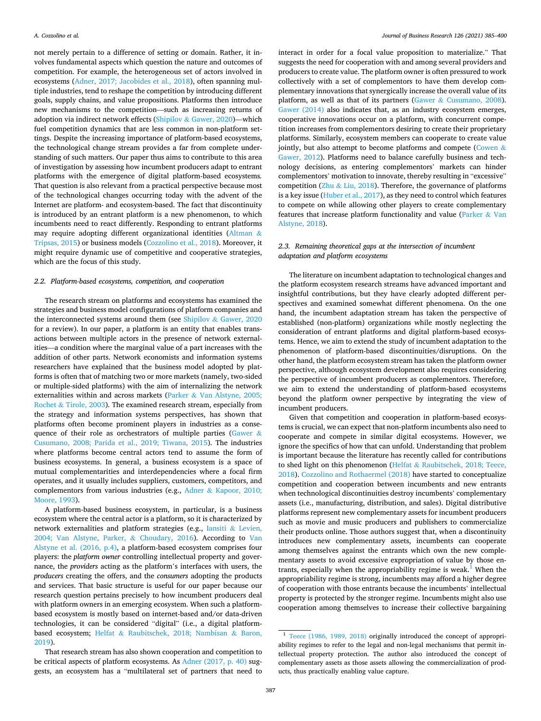not merely pertain to a difference of setting or domain. Rather, it involves fundamental aspects which question the nature and outcomes of competition. For example, the heterogeneous set of actors involved in ecosystems (Adner, 2017; Jacobides et al., 2018), often spanning multiple industries, tend to reshape the competition by introducing different goals, supply chains, and value propositions. Platforms then introduce new mechanisms to the competition—such as increasing returns of adoption via indirect network effects (Shipilov & Gawer, 2020)—which fuel competition dynamics that are less common in non-platform settings. Despite the increasing importance of platform-based ecosystems, the technological change stream provides a far from complete understanding of such matters. Our paper thus aims to contribute to this area of investigation by assessing how incumbent producers adapt to entrant platforms with the emergence of digital platform-based ecosystems*.*  That question is also relevant from a practical perspective because most of the technological changes occurring today with the advent of the Internet are platform- and ecosystem-based. The fact that discontinuity is introduced by an entrant platform is a new phenomenon, to which incumbents need to react differently. Responding to entrant platforms may require adopting different organizational identities (Altman & Tripsas, 2015) or business models (Cozzolino et al., 2018). Moreover, it might require dynamic use of competitive and cooperative strategies, which are the focus of this study.

#### *2.2. Platform-based ecosystems, competition, and cooperation*

The research stream on platforms and ecosystems has examined the strategies and business model configurations of platform companies and the interconnected systems around them (see Shipilov & Gawer, 2020 for a review). In our paper, a platform is an entity that enables transactions between multiple actors in the presence of network externalities—a condition where the marginal value of a part increases with the addition of other parts. Network economists and information systems researchers have explained that the business model adopted by platforms is often that of matching two or more markets (namely, two-sided or multiple-sided platforms) with the aim of internalizing the network externalities within and across markets (Parker & Van Alstyne, 2005; Rochet & Tirole, 2003). The examined research stream, especially from the strategy and information systems perspectives, has shown that platforms often become prominent players in industries as a consequence of their role as orchestrators of multiple parties (Gawer & Cusumano, 2008; Parida et al., 2019; Tiwana, 2015). The industries where platforms become central actors tend to assume the form of business ecosystems. In general, a business ecosystem is a space of mutual complementarities and interdependencies where a focal firm operates, and it usually includes suppliers, customers, competitors, and complementors from various industries (e.g., Adner & Kapoor, 2010; Moore, 1993).

A platform-based business ecosystem, in particular, is a business ecosystem where the central actor is a platform, so it is characterized by network externalities and platform strategies (e.g., Iansiti & Levien, 2004; Van Alstyne, Parker, & Choudary, 2016). According to Van Alstyne et al. (2016, p.4), a platform-based ecosystem comprises four players: the *platform owner* controlling intellectual property and governance, the *providers* acting as the platform's interfaces with users, the *producers* creating the offers, and the *consumers* adopting the products and services. That basic structure is useful for our paper because our research question pertains precisely to how incumbent producers deal with platform owners in an emerging ecosystem. When such a platformbased ecosystem is mostly based on internet-based and/or data-driven technologies, it can be considered "digital" (i.e., a digital platformbased ecosystem; Helfat & Raubitschek, 2018; Nambisan & Baron, 2019).

That research stream has also shown cooperation and competition to be critical aspects of platform ecosystems. As Adner (2017, p. 40) suggests, an ecosystem has a "multilateral set of partners that need to

interact in order for a focal value proposition to materialize." That suggests the need for cooperation with and among several providers and producers to create value. The platform owner is often pressured to work collectively with a set of complementors to have them develop complementary innovations that synergically increase the overall value of its platform, as well as that of its partners (Gawer & Cusumano, 2008). Gawer (2014) also indicates that, as an industry ecosystem emerges, cooperative innovations occur on a platform, with concurrent competition increases from complementors desiring to create their proprietary platforms. Similarly, ecosystem members can cooperate to create value jointly, but also attempt to become platforms and compete (Cowen  $\&$ Gawer, 2012). Platforms need to balance carefully business and technology decisions, as entering complementors' markets can hinder complementors' motivation to innovate, thereby resulting in "excessive" competition ( $Zhu \& Liu$ , 2018). Therefore, the governance of platforms is a key issue (Huber et al., 2017), as they need to control which features to compete on while allowing other players to create complementary features that increase platform functionality and value (Parker & Van Alstyne, 2018).

### *2.3. Remaining theoretical gaps at the intersection of incumbent adaptation and platform ecosystems*

The literature on incumbent adaptation to technological changes and the platform ecosystem research streams have advanced important and insightful contributions, but they have clearly adopted different perspectives and examined somewhat different phenomena. On the one hand, the incumbent adaptation stream has taken the perspective of established (non-platform) organizations while mostly neglecting the consideration of entrant platforms and digital platform-based ecosystems. Hence, we aim to extend the study of incumbent adaptation to the phenomenon of platform-based discontinuities/disruptions. On the other hand, the platform ecosystem stream has taken the platform owner perspective, although ecosystem development also requires considering the perspective of incumbent producers as complementors. Therefore, we aim to extend the understanding of platform-based ecosystems beyond the platform owner perspective by integrating the view of incumbent producers.

Given that competition and cooperation in platform-based ecosystems is crucial, we can expect that non-platform incumbents also need to cooperate and compete in similar digital ecosystems. However, we ignore the specifics of how that can unfold. Understanding that problem is important because the literature has recently called for contributions to shed light on this phenomenon (Helfat & Raubitschek, 2018; Teece, 2018). Cozzolino and Rothaermel (2018) have started to conceptualize competition and cooperation between incumbents and new entrants when technological discontinuities destroy incumbents' complementary assets (i.e., manufacturing, distribution, and sales). Digital distributive platforms represent new complementary assets for incumbent producers such as movie and music producers and publishers to commercialize their products online. Those authors suggest that, when a discontinuity introduces new complementary assets, incumbents can cooperate among themselves against the entrants which own the new complementary assets to avoid excessive expropriation of value by those entrants, especially when the appropriability regime is weak.<sup>1</sup> When the appropriability regime is strong, incumbents may afford a higher degree of cooperation with those entrants because the incumbents' intellectual property is protected by the stronger regime. Incumbents might also use cooperation among themselves to increase their collective bargaining

<sup>&</sup>lt;sup>1</sup> Teece (1986, 1989, 2018) originally introduced the concept of appropriability regimes to refer to the legal and non-legal mechanisms that permit intellectual property protection. The author also introduced the concept of complementary assets as those assets allowing the commercialization of products, thus practically enabling value capture.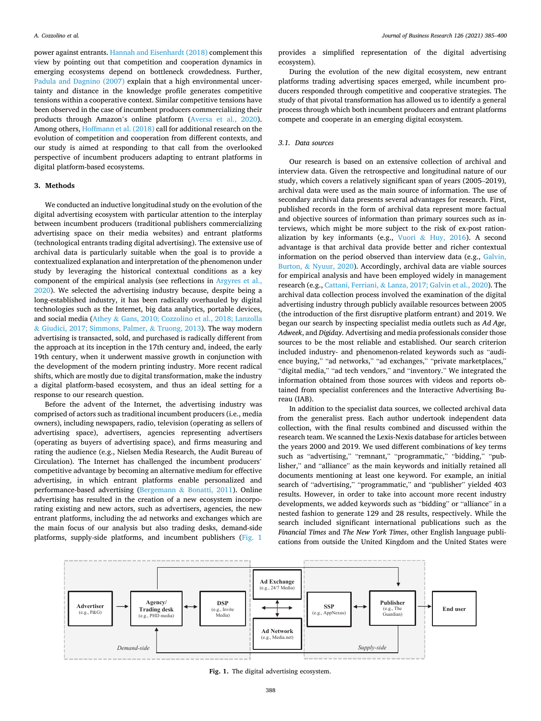power against entrants. Hannah and Eisenhardt (2018) complement this view by pointing out that competition and cooperation dynamics in emerging ecosystems depend on bottleneck crowdedness. Further, Padula and Dagnino (2007) explain that a high environmental uncertainty and distance in the knowledge profile generates competitive tensions within a cooperative context. Similar competitive tensions have been observed in the case of incumbent producers commercializing their products through Amazon's online platform (Aversa et al., 2020). Among others, Hoffmann et al. (2018) call for additional research on the evolution of competition and cooperation from different contexts, and our study is aimed at responding to that call from the overlooked perspective of incumbent producers adapting to entrant platforms in digital platform-based ecosystems.

#### **3. Methods**

We conducted an inductive longitudinal study on the evolution of the digital advertising ecosystem with particular attention to the interplay between incumbent producers (traditional publishers commercializing advertising space on their media websites) and entrant platforms (technological entrants trading digital advertising). The extensive use of archival data is particularly suitable when the goal is to provide a contextualized explanation and interpretation of the phenomenon under study by leveraging the historical contextual conditions as a key component of the empirical analysis (see reflections in Argyres et al., 2020). We selected the advertising industry because, despite being a long-established industry, it has been radically overhauled by digital technologies such as the Internet, big data analytics, portable devices, and social media (Athey & Gans, 2010; Cozzolino et al., 2018; Lanzolla & Giudici, 2017; Simmons, Palmer, & Truong, 2013). The way modern advertising is transacted, sold, and purchased is radically different from the approach at its inception in the 17th century and, indeed, the early 19th century, when it underwent massive growth in conjunction with the development of the modern printing industry. More recent radical shifts, which are mostly due to digital transformation, make the industry a digital platform-based ecosystem, and thus an ideal setting for a response to our research question.

Before the advent of the Internet, the advertising industry was comprised of actors such as traditional incumbent producers (i.e., media owners), including newspapers, radio, television (operating as sellers of advertising space), advertisers, agencies representing advertisers (operating as buyers of advertising space), and firms measuring and rating the audience (e.g., Nielsen Media Research, the Audit Bureau of Circulation). The Internet has challenged the incumbent producers' competitive advantage by becoming an alternative medium for effective advertising, in which entrant platforms enable personalized and performance-based advertising (Bergemann & Bonatti, 2011). Online advertising has resulted in the creation of a new ecosystem incorporating existing and new actors, such as advertisers, agencies, the new entrant platforms, including the ad networks and exchanges which are the main focus of our analysis but also trading desks, demand-side platforms, supply-side platforms, and incumbent publishers (Fig. 1

provides a simplified representation of the digital advertising ecosystem).

During the evolution of the new digital ecosystem, new entrant platforms trading advertising spaces emerged, while incumbent producers responded through competitive and cooperative strategies. The study of that pivotal transformation has allowed us to identify a general process through which both incumbent producers and entrant platforms compete and cooperate in an emerging digital ecosystem.

## *3.1. Data sources*

Our research is based on an extensive collection of archival and interview data. Given the retrospective and longitudinal nature of our study, which covers a relatively significant span of years (2005–2019), archival data were used as the main source of information. The use of secondary archival data presents several advantages for research. First, published records in the form of archival data represent more factual and objective sources of information than primary sources such as interviews, which might be more subject to the risk of ex-post rationalization by key informants (e.g., Vuori & Huy, 2016). A second advantage is that archival data provide better and richer contextual information on the period observed than interview data (e.g., Galvin, Burton, & Nyuur, 2020). Accordingly, archival data are viable sources for empirical analysis and have been employed widely in management research (e.g., Cattani, Ferriani, & Lanza, 2017; Galvin et al., 2020). The archival data collection process involved the examination of the digital advertising industry through publicly available resources between 2005 (the introduction of the first disruptive platform entrant) and 2019. We began our search by inspecting specialist media outlets such as *Ad Age*, *Adweek*, and *Digiday*. Advertising and media professionals consider those sources to be the most reliable and established. Our search criterion included industry- and phenomenon-related keywords such as "audience buying," "ad networks," "ad exchanges," "private marketplaces," "digital media," "ad tech vendors," and "inventory." We integrated the information obtained from those sources with videos and reports obtained from specialist conferences and the Interactive Advertising Bureau (IAB).

In addition to the specialist data sources, we collected archival data from the generalist press. Each author undertook independent data collection, with the final results combined and discussed within the research team. We scanned the Lexis-Nexis database for articles between the years 2000 and 2019. We used different combinations of key terms such as "advertising," "remnant," "programmatic," "bidding," "publisher," and "alliance" as the main keywords and initially retained all documents mentioning at least one keyword. For example, an initial search of "advertising," "programmatic," and "publisher" yielded 403 results. However, in order to take into account more recent industry developments, we added keywords such as "bidding" or "alliance" in a nested fashion to generate 129 and 28 results, respectively. While the search included significant international publications such as the *Financial Times* and *The New York Times*, other English language publications from outside the United Kingdom and the United States were



**Fig. 1.** The digital advertising ecosystem.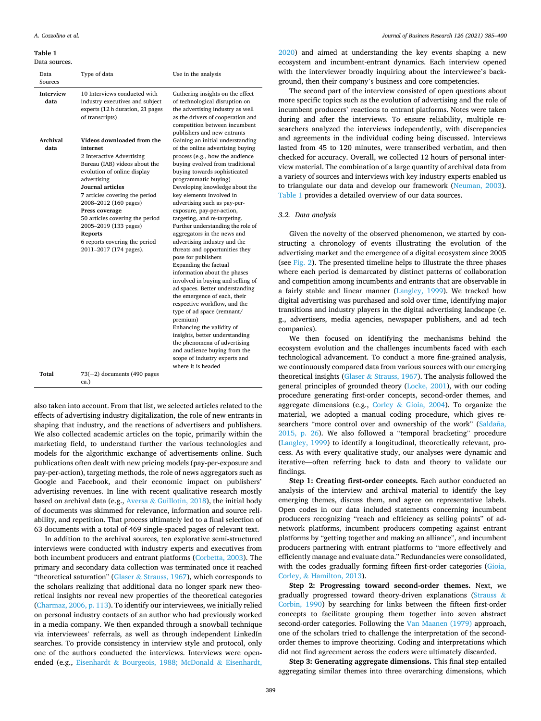**Table 1** 

Data sources.

| Data<br>Sources          | Type of data                                                                                                                                                                                                                                                                                                                                                                                        | Use in the analysis                                                                                                                                                                                                                                                                                                                                                                                                                                                                                                                                                                                                                                                                                                                                                                                                                                                                                                                                         |
|--------------------------|-----------------------------------------------------------------------------------------------------------------------------------------------------------------------------------------------------------------------------------------------------------------------------------------------------------------------------------------------------------------------------------------------------|-------------------------------------------------------------------------------------------------------------------------------------------------------------------------------------------------------------------------------------------------------------------------------------------------------------------------------------------------------------------------------------------------------------------------------------------------------------------------------------------------------------------------------------------------------------------------------------------------------------------------------------------------------------------------------------------------------------------------------------------------------------------------------------------------------------------------------------------------------------------------------------------------------------------------------------------------------------|
| <b>Interview</b><br>data | 10 Interviews conducted with<br>industry executives and subject<br>experts (12 h duration, 21 pages<br>of transcripts)                                                                                                                                                                                                                                                                              | Gathering insights on the effect<br>of technological disruption on<br>the advertising industry as well<br>as the drivers of cooperation and<br>competition between incumbent<br>publishers and new entrants                                                                                                                                                                                                                                                                                                                                                                                                                                                                                                                                                                                                                                                                                                                                                 |
| Archival<br>data         | Videos downloaded from the<br>internet<br>2 Interactive Advertising<br>Bureau (IAB) videos about the<br>evolution of online display<br>advertising<br><b>Journal articles</b><br>7 articles covering the period<br>2008-2012 (160 pages)<br>Press coverage<br>50 articles covering the period<br>2005-2019 (133 pages)<br><b>Reports</b><br>6 reports covering the period<br>2011-2017 (174 pages). | Gaining an initial understanding<br>of the online advertising buying<br>process (e.g., how the audience<br>buying evolved from traditional<br>buying towards sophisticated<br>programmatic buying)<br>Developing knowledge about the<br>key elements involved in<br>advertising such as pay-per-<br>exposure, pay-per-action,<br>targeting, and re-targeting.<br>Further understanding the role of<br>aggregators in the news and<br>advertising industry and the<br>threats and opportunities they<br>pose for publishers<br>Expanding the factual<br>information about the phases<br>involved in buying and selling of<br>ad spaces. Better understanding<br>the emergence of each, their<br>respective workflow, and the<br>type of ad space (remnant/<br>premium)<br>Enhancing the validity of<br>insights, better understanding<br>the phenomena of advertising<br>and audience buying from the<br>scope of industry experts and<br>where it is headed |
| Total                    | $73(+2)$ documents (490 pages<br>ca.)                                                                                                                                                                                                                                                                                                                                                               |                                                                                                                                                                                                                                                                                                                                                                                                                                                                                                                                                                                                                                                                                                                                                                                                                                                                                                                                                             |

also taken into account. From that list, we selected articles related to the effects of advertising industry digitalization, the role of new entrants in shaping that industry, and the reactions of advertisers and publishers. We also collected academic articles on the topic, primarily within the marketing field, to understand further the various technologies and models for the algorithmic exchange of advertisements online. Such publications often dealt with new pricing models (pay-per-exposure and pay-per-action), targeting methods, the role of news aggregators such as Google and Facebook, and their economic impact on publishers' advertising revenues. In line with recent qualitative research mostly based on archival data (e.g., Aversa & Guillotin, 2018), the initial body of documents was skimmed for relevance, information and source reliability, and repetition. That process ultimately led to a final selection of 63 documents with a total of 469 single-spaced pages of relevant text.

In addition to the archival sources, ten explorative semi-structured interviews were conducted with industry experts and executives from both incumbent producers and entrant platforms (Corbetta, 2003). The primary and secondary data collection was terminated once it reached "theoretical saturation" (Glaser  $&$  Strauss, 1967), which corresponds to the scholars realizing that additional data no longer spark new theoretical insights nor reveal new properties of the theoretical categories (Charmaz, 2006, p. 113). To identify our interviewees, we initially relied on personal industry contacts of an author who had previously worked in a media company. We then expanded through a snowball technique via interviewees' referrals, as well as through independent LinkedIn searches. To provide consistency in interview style and protocol, only one of the authors conducted the interviews. Interviews were openended (e.g., Eisenhardt & Bourgeois, 1988; McDonald & Eisenhardt,

2020) and aimed at understanding the key events shaping a new ecosystem and incumbent-entrant dynamics. Each interview opened with the interviewer broadly inquiring about the interviewee's background, then their company's business and core competencies.

The second part of the interview consisted of open questions about more specific topics such as the evolution of advertising and the role of incumbent producers' reactions to entrant platforms. Notes were taken during and after the interviews. To ensure reliability, multiple researchers analyzed the interviews independently, with discrepancies and agreements in the individual coding being discussed. Interviews lasted from 45 to 120 minutes, were transcribed verbatim, and then checked for accuracy. Overall, we collected 12 hours of personal interview material. The combination of a large quantity of archival data from a variety of sources and interviews with key industry experts enabled us to triangulate our data and develop our framework (Neuman, 2003). Table 1 provides a detailed overview of our data sources.

## *3.2. Data analysis*

Given the novelty of the observed phenomenon, we started by constructing a chronology of events illustrating the evolution of the advertising market and the emergence of a digital ecosystem since 2005 (see Fig. 2). The presented timeline helps to illustrate the three phases where each period is demarcated by distinct patterns of collaboration and competition among incumbents and entrants that are observable in a fairly stable and linear manner (Langley, 1999). We tracked how digital advertising was purchased and sold over time, identifying major transitions and industry players in the digital advertising landscape (e. g., advertisers, media agencies, newspaper publishers, and ad tech companies).

We then focused on identifying the mechanisms behind the ecosystem evolution and the challenges incumbents faced with each technological advancement. To conduct a more fine-grained analysis, we continuously compared data from various sources with our emerging theoretical insights (Glaser & Strauss, 1967). The analysis followed the general principles of grounded theory (Locke, 2001), with our coding procedure generating first-order concepts, second-order themes, and aggregate dimensions (e.g., Corley & Gioia, 2004). To organize the material, we adopted a manual coding procedure, which gives researchers "more control over and ownership of the work" (Saldaña, 2015, p. 26). We also followed a "temporal bracketing" procedure (Langley, 1999) to identify a longitudinal, theoretically relevant, process. As with every qualitative study, our analyses were dynamic and iterative—often referring back to data and theory to validate our findings.

**Step 1: Creating first-order concepts.** Each author conducted an analysis of the interview and archival material to identify the key emerging themes, discuss them, and agree on representative labels. Open codes in our data included statements concerning incumbent producers recognizing "reach and efficiency as selling points" of adnetwork platforms, incumbent producers competing against entrant platforms by "getting together and making an alliance", and incumbent producers partnering with entrant platforms to "more effectively and efficiently manage and evaluate data." Redundancies were consolidated, with the codes gradually forming fifteen first-order categories (Gioia, Corley, & Hamilton, 2013).

**Step 2: Progressing toward second-order themes.** Next, we gradually progressed toward theory-driven explanations (Strauss & Corbin, 1990) by searching for links between the fifteen first-order concepts to facilitate grouping them together into seven abstract second-order categories. Following the Van Maanen (1979) approach, one of the scholars tried to challenge the interpretation of the secondorder themes to improve theorizing. Coding and interpretations which did not find agreement across the coders were ultimately discarded.

**Step 3: Generating aggregate dimensions.** This final step entailed aggregating similar themes into three overarching dimensions, which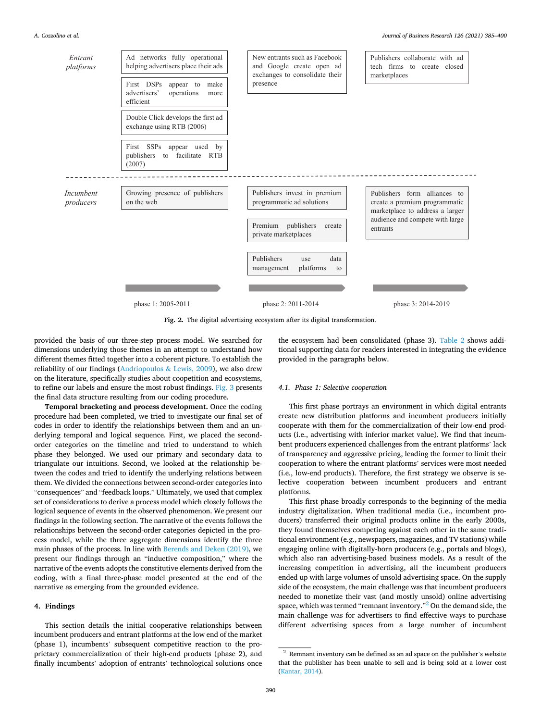

**Fig. 2.** The digital advertising ecosystem after its digital transformation.

provided the basis of our three-step process model. We searched for dimensions underlying those themes in an attempt to understand how different themes fitted together into a coherent picture. To establish the reliability of our findings (Andriopoulos & Lewis, 2009), we also drew on the literature, specifically studies about coopetition and ecosystems, to refine our labels and ensure the most robust findings. Fig. 3 presents the final data structure resulting from our coding procedure.

**Temporal bracketing and process development.** Once the coding procedure had been completed, we tried to investigate our final set of codes in order to identify the relationships between them and an underlying temporal and logical sequence. First, we placed the secondorder categories on the timeline and tried to understand to which phase they belonged. We used our primary and secondary data to triangulate our intuitions. Second, we looked at the relationship between the codes and tried to identify the underlying relations between them. We divided the connections between second-order categories into "consequences" and "feedback loops." Ultimately, we used that complex set of considerations to derive a process model which closely follows the logical sequence of events in the observed phenomenon. We present our findings in the following section. The narrative of the events follows the relationships between the second-order categories depicted in the process model, while the three aggregate dimensions identify the three main phases of the process. In line with Berends and Deken (2019), we present our findings through an "inductive composition," where the narrative of the events adopts the constitutive elements derived from the coding, with a final three-phase model presented at the end of the narrative as emerging from the grounded evidence.

## **4. Findings**

This section details the initial cooperative relationships between incumbent producers and entrant platforms at the low end of the market (phase 1), incumbents' subsequent competitive reaction to the proprietary commercialization of their high-end products (phase 2), and finally incumbents' adoption of entrants' technological solutions once

the ecosystem had been consolidated (phase 3). Table 2 shows additional supporting data for readers interested in integrating the evidence provided in the paragraphs below.

#### *4.1. Phase 1: Selective cooperation*

This first phase portrays an environment in which digital entrants create new distribution platforms and incumbent producers initially cooperate with them for the commercialization of their low-end products (i.e., advertising with inferior market value). We find that incumbent producers experienced challenges from the entrant platforms' lack of transparency and aggressive pricing, leading the former to limit their cooperation to where the entrant platforms' services were most needed (i.e., low-end products). Therefore, the first strategy we observe is selective cooperation between incumbent producers and entrant platforms.

This first phase broadly corresponds to the beginning of the media industry digitalization. When traditional media (i.e., incumbent producers) transferred their original products online in the early 2000s, they found themselves competing against each other in the same traditional environment (e.g., newspapers, magazines, and TV stations) while engaging online with digitally-born producers (e.g., portals and blogs), which also ran advertising-based business models. As a result of the increasing competition in advertising, all the incumbent producers ended up with large volumes of unsold advertising space. On the supply side of the ecosystem, the main challenge was that incumbent producers needed to monetize their vast (and mostly unsold) online advertising space, which was termed "remnant inventory."<sup>2</sup> On the demand side, the main challenge was for advertisers to find effective ways to purchase different advertising spaces from a large number of incumbent

 $^{\rm 2}$  Remnant inventory can be defined as an ad space on the publisher's website that the publisher has been unable to sell and is being sold at a lower cost (Kantar, 2014).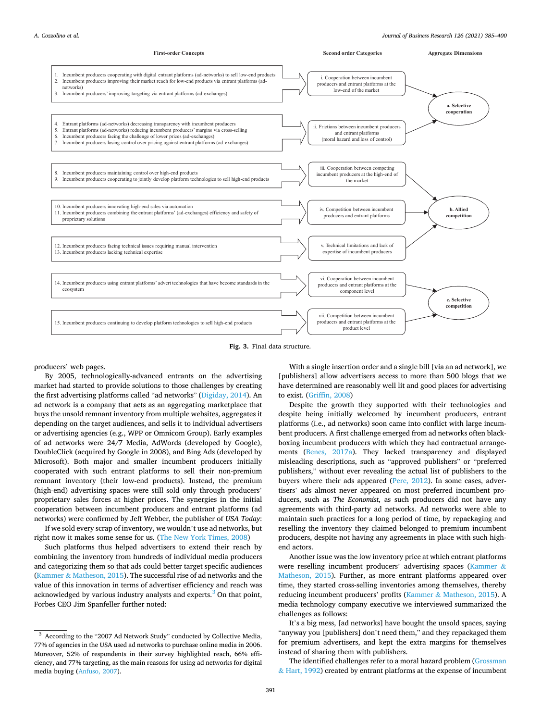

**Fig. 3.** Final data structure.

producers' web pages.

By 2005, technologically-advanced entrants on the advertising market had started to provide solutions to those challenges by creating the first advertising platforms called "ad networks" (Digiday, 2014). An ad network is a company that acts as an aggregating marketplace that buys the unsold remnant inventory from multiple websites, aggregates it depending on the target audiences, and sells it to individual advertisers or advertising agencies (e.g., WPP or Omnicom Group). Early examples of ad networks were 24/7 Media, AdWords (developed by Google), DoubleClick (acquired by Google in 2008), and Bing Ads (developed by Microsoft). Both major and smaller incumbent producers initially cooperated with such entrant platforms to sell their non-premium remnant inventory (their low-end products). Instead, the premium (high-end) advertising spaces were still sold only through producers' proprietary sales forces at higher prices. The synergies in the initial cooperation between incumbent producers and entrant platforms (ad networks) were confirmed by Jeff Webber, the publisher of *USA Today*: If we sold every scrap of inventory, we wouldn't use ad networks, but

right now it makes some sense for us. (The New York Times, 2008)

Such platforms thus helped advertisers to extend their reach by combining the inventory from hundreds of individual media producers and categorizing them so that ads could better target specific audiences (Kammer & Matheson, 2015). The successful rise of ad networks and the value of this innovation in terms of advertiser efficiency and reach was acknowledged by various industry analysts and experts.<sup>3</sup> On that point, Forbes CEO Jim Spanfeller further noted:

With a single insertion order and a single bill [via an ad network], we [publishers] allow advertisers access to more than 500 blogs that we have determined are reasonably well lit and good places for advertising to exist. (Griffin, 2008)

Despite the growth they supported with their technologies and despite being initially welcomed by incumbent producers, entrant platforms (i.e., ad networks) soon came into conflict with large incumbent producers. A first challenge emerged from ad networks often blackboxing incumbent producers with which they had contractual arrangements (Benes, 2017a). They lacked transparency and displayed misleading descriptions, such as "approved publishers" or "preferred publishers," without ever revealing the actual list of publishers to the buyers where their ads appeared (Pere, 2012). In some cases, advertisers' ads almost never appeared on most preferred incumbent producers, such as *The Economist*, as such producers did not have any agreements with third-party ad networks. Ad networks were able to maintain such practices for a long period of time, by repackaging and reselling the inventory they claimed belonged to premium incumbent producers, despite not having any agreements in place with such highend actors.

Another issue was the low inventory price at which entrant platforms were reselling incumbent producers' advertising spaces (Kammer & Matheson, 2015). Further, as more entrant platforms appeared over time, they started cross-selling inventories among themselves, thereby reducing incumbent producers' profits (Kammer & Matheson, 2015). A media technology company executive we interviewed summarized the challenges as follows:

It's a big mess, [ad networks] have bought the unsold spaces, saying "anyway you [publishers] don't need them," and they repackaged them for premium advertisers, and kept the extra margins for themselves instead of sharing them with publishers.

The identified challenges refer to a moral hazard problem (Grossman  $&$  Hart, 1992) created by entrant platforms at the expense of incumbent

<sup>3</sup> According to the "2007 Ad Network Study" conducted by Collective Media, 77% of agencies in the USA used ad networks to purchase online media in 2006. Moreover, 52% of respondents in their survey highlighted reach, 66% efficiency, and 77% targeting, as the main reasons for using ad networks for digital media buying (Anfuso, 2007).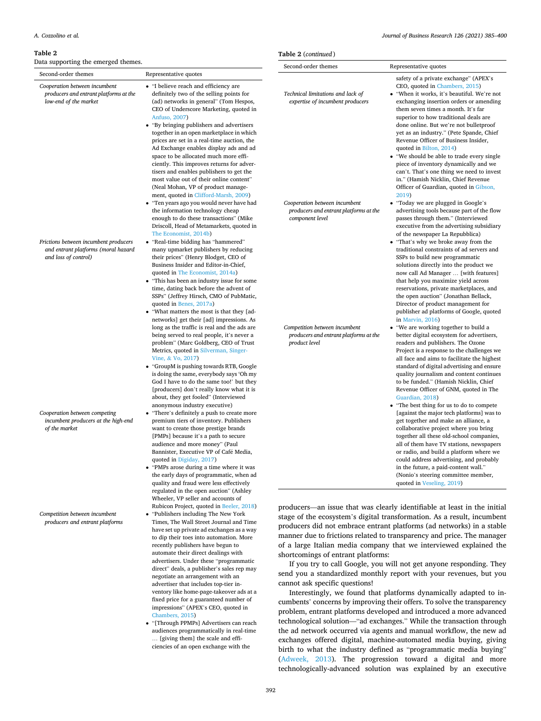#### **Table 2**

Data supporting the emerged themes.

*Cooperation between incumbent producers and entrant platforms at the* 

*low-end of the market* 

Second-order themes Representative quotes

| Frictions between incumbent producers |  |  |  |
|---------------------------------------|--|--|--|
| and entrant platforms (moral hazard   |  |  |  |
| and loss of control)                  |  |  |  |

*Cooperation between competing incumbent producers at the high-end of the market* 

*Competition between incumbent producers and entrant platforms* 

- "I believe reach and efficiency are definitely two of the selling points for (ad) networks in general" (Tom Hespos, CEO of Underscore Marketing, quoted in Anfuso, 2007)
- "By bringing publishers and advertisers together in an open marketplace in which prices are set in a real-time auction, the Ad Exchange enables display ads and ad space to be allocated much more efficiently. This improves returns for advertisers and enables publishers to get the most value out of their online content" (Neal Mohan, VP of product management, quoted in Clifford-Marsh, 2009)
- "Ten years ago you would never have had the information technology cheap enough to do these transactions" (Mike Driscoll, Head of Metamarkets, quoted in The Economist, 2014b)
- "Real-time bidding has "hammered" many upmarket publishers by reducing their prices" (Henry Blodget, CEO of Business Insider and Editor-in-Chief, quoted in The Economist, 2014a)
- "This has been an industry issue for some time, dating back before the advent of SSPs" (Jeffrey Hirsch, CMO of PubMatic, quoted in Benes, 2017a)
- "What matters the most is that they [adnetworks] get their [ad] impressions. As long as the traffic is real and the ads are being served to real people, it's never a problem" (Marc Goldberg, CEO of Trust Metrics, quoted in Silverman, Singer-Vine, & Vo, 2017)
- "GroupM is pushing towards RTB, Google is doing the same, everybody says 'Oh my God I have to do the same too!' but they [producers] don't really know what it is about, they get fooled" (Interviewed anonymous industry executive)
- "There's definitely a push to create more premium tiers of inventory. Publishers want to create those prestige brands [PMPs] because it's a path to secure audience and more money" (Paul Bannister, Executive VP of Café Media, quoted in Digiday, 2017)
- "PMPs arose during a time where it was the early days of programmatic, when ad quality and fraud were less effectively regulated in the open auction" (Ashley Wheeler, VP seller and accounts of Rubicon Project, quoted in Beeler, 2018)
- "Publishers including The New York Times, The Wall Street Journal and Time have set up private ad exchanges as a way to dip their toes into automation. More recently publishers have begun to automate their direct dealings with advertisers. Under these "programmatic direct" deals, a publisher's sales rep may negotiate an arrangement with an advertiser that includes top-tier inventory like home-page-takeover ads at a fixed price for a guaranteed number of impressions" (APEX's CEO, quoted in Chambers, 2015)
- "[Through PPMPs] Advertisers can reach audiences programmatically in real-time … [giving them] the scale and efficiencies of an open exchange with the

| Journal of Business Research 126 (2021) 385-400                                            |                                                                                                                                                                                                                                                                                                                                                                                                                                                                                                                                                                                                                                                                                                                                                                                                                                                                                          |  |
|--------------------------------------------------------------------------------------------|------------------------------------------------------------------------------------------------------------------------------------------------------------------------------------------------------------------------------------------------------------------------------------------------------------------------------------------------------------------------------------------------------------------------------------------------------------------------------------------------------------------------------------------------------------------------------------------------------------------------------------------------------------------------------------------------------------------------------------------------------------------------------------------------------------------------------------------------------------------------------------------|--|
| Table 2 (continued)                                                                        |                                                                                                                                                                                                                                                                                                                                                                                                                                                                                                                                                                                                                                                                                                                                                                                                                                                                                          |  |
| Second-order themes                                                                        | Representative quotes                                                                                                                                                                                                                                                                                                                                                                                                                                                                                                                                                                                                                                                                                                                                                                                                                                                                    |  |
| Technical limitations and lack of<br>expertise of incumbent producers                      | safety of a private exchange" (APEX's<br>CEO, quoted in Chambers, 2015)<br>• "When it works, it's beautiful. We're not<br>exchanging insertion orders or amending<br>them seven times a month. It's far<br>superior to how traditional deals are<br>done online. But we're not bulletproof<br>yet as an industry." (Pete Spande, Chief<br>Revenue Officer of Business Insider,<br>quoted in Bilton, 2014)<br>• "We should be able to trade every single<br>piece of inventory dynamically and we<br>can't. That's one thing we need to invest<br>in." (Hamish Nicklin, Chief Revenue                                                                                                                                                                                                                                                                                                     |  |
| Cooperation between incumbent<br>producers and entrant platforms at the<br>component level | Officer of Guardian, quoted in Gibson,<br>2019)<br>• "Today we are plugged in Google's<br>advertising tools because part of the flow<br>passes through them." (Interviewed<br>executive from the advertising subsidiary<br>of the newspaper La Repubblica)<br>• "That's why we broke away from the<br>traditional constraints of ad servers and<br>SSPs to build new programmatic<br>solutions directly into the product we<br>now call Ad Manager  [with features]<br>that help you maximize yield across<br>reservations, private marketplaces, and<br>the open auction" (Jonathan Bellack,<br>Director of product management for<br>publisher ad platforms of Google, quoted<br>in Marvin, 2016)                                                                                                                                                                                      |  |
| Competition between incumbent<br>producers and entrant platforms at the<br>product level   | • "We are working together to build a<br>better digital ecosystem for advertisers,<br>readers and publishers. The Ozone<br>Project is a response to the challenges we<br>all face and aims to facilitate the highest<br>standard of digital advertising and ensure<br>quality journalism and content continues<br>to be funded." (Hamish Nicklin, Chief<br>Revenue Officer of GNM, quoted in The<br>Guardian, 2018)<br>• "The best thing for us to do to compete<br>[against the major tech platforms] was to<br>get together and make an alliance, a<br>collaborative project where you bring<br>together all these old-school companies,<br>all of them have TV stations, newspapers<br>or radio, and build a platform where we<br>could address advertising, and probably<br>in the future, a paid-content wall."<br>(Nonio's steering committee member,<br>quoted in Veseling, 2019) |  |

producers—an issue that was clearly identifiable at least in the initial stage of the ecosystem's digital transformation. As a result, incumbent producers did not embrace entrant platforms (ad networks) in a stable manner due to frictions related to transparency and price. The manager of a large Italian media company that we interviewed explained the shortcomings of entrant platforms:

If you try to call Google, you will not get anyone responding. They send you a standardized monthly report with your revenues, but you cannot ask specific questions!

Interestingly, we found that platforms dynamically adapted to incumbents' concerns by improving their offers. To solve the transparency problem, entrant platforms developed and introduced a more advanced technological solution—"ad exchanges." While the transaction through the ad network occurred via agents and manual workflow, the new ad exchanges offered digital, machine-automated media buying, giving birth to what the industry defined as "programmatic media buying" (Adweek, 2013). The progression toward a digital and more technologically-advanced solution was explained by an executive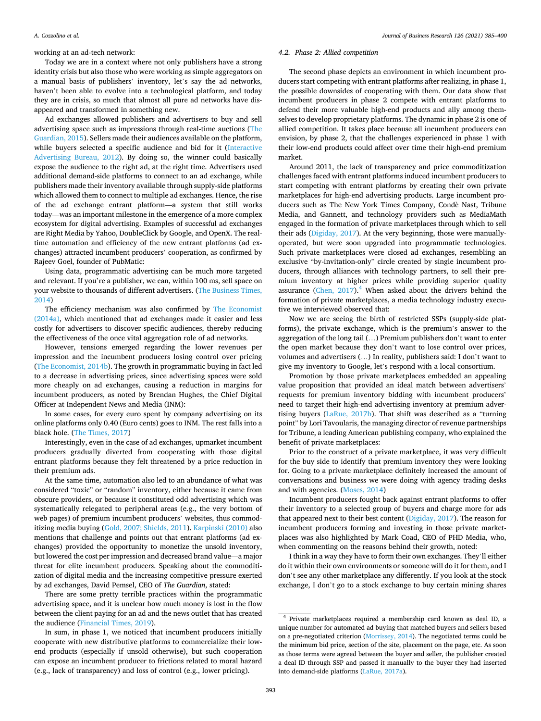working at an ad-tech network:

Today we are in a context where not only publishers have a strong identity crisis but also those who were working as simple aggregators on a manual basis of publishers' inventory, let's say the ad networks, haven't been able to evolve into a technological platform, and today they are in crisis, so much that almost all pure ad networks have disappeared and transformed in something new.

Ad exchanges allowed publishers and advertisers to buy and sell advertising space such as impressions through real-time auctions (The Guardian, 2015). Sellers made their audiences available on the platform, while buyers selected a specific audience and bid for it (Interactive Advertising Bureau, 2012). By doing so, the winner could basically expose the audience to the right ad, at the right time. Advertisers used additional demand-side platforms to connect to an ad exchange, while publishers made their inventory available through supply-side platforms which allowed them to connect to multiple ad exchanges. Hence, the rise of the ad exchange entrant platform—a system that still works today—was an important milestone in the emergence of a more complex ecosystem for digital advertising. Examples of successful ad exchanges are Right Media by Yahoo, DoubleClick by Google, and OpenX. The realtime automation and efficiency of the new entrant platforms (ad exchanges) attracted incumbent producers' cooperation, as confirmed by Rajeev Goel, founder of PubMatic:

Using data, programmatic advertising can be much more targeted and relevant. If you're a publisher, we can, within 100 ms, sell space on your website to thousands of different advertisers. (The Business Times, 2014)

The efficiency mechanism was also confirmed by The Economist (2014a), which mentioned that ad exchanges made it easier and less costly for advertisers to discover specific audiences, thereby reducing the effectiveness of the once vital aggregation role of ad networks.

However, tensions emerged regarding the lower revenues per impression and the incumbent producers losing control over pricing (The Economist, 2014b). The growth in programmatic buying in fact led to a decrease in advertising prices, since advertising spaces were sold more cheaply on ad exchanges, causing a reduction in margins for incumbent producers, as noted by Brendan Hughes, the Chief Digital Officer at Independent News and Media (INM):

In some cases, for every euro spent by company advertising on its online platforms only 0.40 (Euro cents) goes to INM. The rest falls into a black hole. (The Times, 2017)

Interestingly, even in the case of ad exchanges, upmarket incumbent producers gradually diverted from cooperating with those digital entrant platforms because they felt threatened by a price reduction in their premium ads.

At the same time, automation also led to an abundance of what was considered "toxic" or "random" inventory, either because it came from obscure providers, or because it constituted odd advertising which was systematically relegated to peripheral areas (e.g., the very bottom of web pages) of premium incumbent producers' websites, thus commoditizing media buying (Gold, 2007; Shields, 2011). Karpinski (2010) also mentions that challenge and points out that entrant platforms (ad exchanges) provided the opportunity to monetize the unsold inventory, but lowered the cost per impression and decreased brand value—a major threat for elite incumbent producers. Speaking about the commoditization of digital media and the increasing competitive pressure exerted by ad exchanges, David Pemsel, CEO of *The Guardian*, stated:

There are some pretty terrible practices within the programmatic advertising space, and it is unclear how much money is lost in the flow between the client paying for an ad and the news outlet that has created the audience (Financial Times, 2019).

In sum, in phase 1, we noticed that incumbent producers initially cooperate with new distributive platforms to commercialize their lowend products (especially if unsold otherwise), but such cooperation can expose an incumbent producer to frictions related to moral hazard (e.g., lack of transparency) and loss of control (e.g., lower pricing).

### *4.2. Phase 2: Allied competition*

The second phase depicts an environment in which incumbent producers start competing with entrant platforms after realizing, in phase 1, the possible downsides of cooperating with them. Our data show that incumbent producers in phase 2 compete with entrant platforms to defend their more valuable high-end products and ally among themselves to develop proprietary platforms. The dynamic in phase 2 is one of allied competition. It takes place because all incumbent producers can envision, by phase 2, that the challenges experienced in phase 1 with their low-end products could affect over time their high-end premium market.

Around 2011, the lack of transparency and price commoditization challenges faced with entrant platforms induced incumbent producers to start competing with entrant platforms by creating their own private marketplaces for high-end advertising products. Large incumbent producers such as The New York Times Company, Condè Nast, Tribune Media, and Gannett, and technology providers such as MediaMath engaged in the formation of private marketplaces through which to sell their ads (Digiday, 2017). At the very beginning, those were manuallyoperated, but were soon upgraded into programmatic technologies. Such private marketplaces were closed ad exchanges, resembling an exclusive "by-invitation-only" circle created by single incumbent producers, through alliances with technology partners, to sell their premium inventory at higher prices while providing superior quality assurance (Chen,  $2017$ ).<sup>4</sup> When asked about the drivers behind the formation of private marketplaces, a media technology industry executive we interviewed observed that:

Now we are seeing the birth of restricted SSPs (supply-side platforms), the private exchange, which is the premium's answer to the aggregation of the long tail (…) Premium publishers don't want to enter the open market because they don't want to lose control over prices, volumes and advertisers (…) In reality, publishers said: I don't want to give my inventory to Google, let's respond with a local consortium.

Promotion by those private marketplaces embedded an appealing value proposition that provided an ideal match between advertisers' requests for premium inventory bidding with incumbent producers' need to target their high-end advertising inventory at premium advertising buyers (LaRue, 2017b). That shift was described as a "turning point" by Lori Tavoularis, the managing director of revenue partnerships for Tribune, a leading American publishing company, who explained the benefit of private marketplaces:

Prior to the construct of a private marketplace, it was very difficult for the buy side to identify that premium inventory they were looking for. Going to a private marketplace definitely increased the amount of conversations and business we were doing with agency trading desks and with agencies. (Moses, 2014)

Incumbent producers fought back against entrant platforms to offer their inventory to a selected group of buyers and charge more for ads that appeared next to their best content (Digiday, 2017). The reason for incumbent producers forming and investing in those private marketplaces was also highlighted by Mark Coad, CEO of PHD Media, who, when commenting on the reasons behind their growth, noted:

I think in a way they have to form their own exchanges. They'll either do it within their own environments or someone will do it for them, and I don't see any other marketplace any differently. If you look at the stock exchange, I don't go to a stock exchange to buy certain mining shares

<sup>4</sup> Private marketplaces required a membership card known as deal ID, a unique number for automated ad buying that matched buyers and sellers based on a pre-negotiated criterion (Morrissey, 2014). The negotiated terms could be the minimum bid price, section of the site, placement on the page, etc. As soon as those terms were agreed between the buyer and seller, the publisher created a deal ID through SSP and passed it manually to the buyer they had inserted into demand-side platforms (LaRue, 2017a).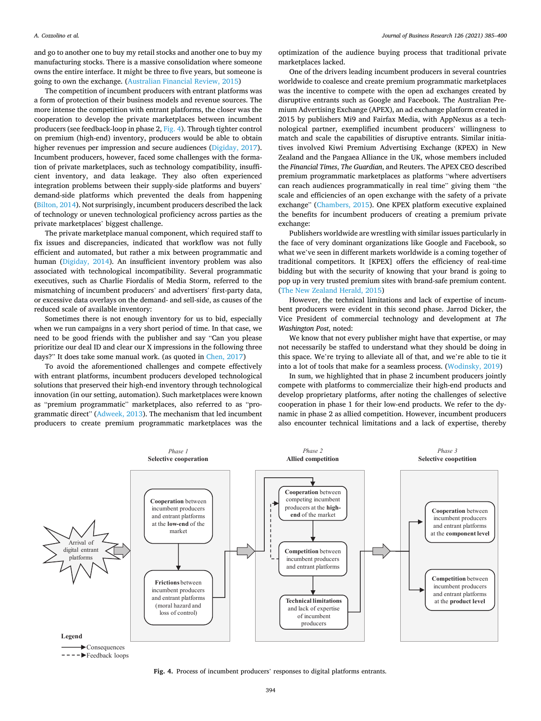and go to another one to buy my retail stocks and another one to buy my manufacturing stocks. There is a massive consolidation where someone owns the entire interface. It might be three to five years, but someone is going to own the exchange. (Australian Financial Review, 2015)

The competition of incumbent producers with entrant platforms was a form of protection of their business models and revenue sources. The more intense the competition with entrant platforms, the closer was the cooperation to develop the private marketplaces between incumbent producers (see feedback-loop in phase 2, Fig. 4). Through tighter control on premium (high-end) inventory, producers would be able to obtain higher revenues per impression and secure audiences (Digiday, 2017). Incumbent producers, however, faced some challenges with the formation of private marketplaces, such as technology compatibility, insufficient inventory, and data leakage. They also often experienced integration problems between their supply-side platforms and buyers' demand-side platforms which prevented the deals from happening (Bilton, 2014). Not surprisingly, incumbent producers described the lack of technology or uneven technological proficiency across parties as the private marketplaces' biggest challenge.

The private marketplace manual component, which required staff to fix issues and discrepancies, indicated that workflow was not fully efficient and automated, but rather a mix between programmatic and human (Digiday, 2014). An insufficient inventory problem was also associated with technological incompatibility. Several programmatic executives, such as Charlie Fiordalis of Media Storm, referred to the mismatching of incumbent producers' and advertisers' first-party data, or excessive data overlays on the demand- and sell-side, as causes of the reduced scale of available inventory:

Sometimes there is not enough inventory for us to bid, especially when we run campaigns in a very short period of time. In that case, we need to be good friends with the publisher and say "Can you please prioritize our deal ID and clear our X impressions in the following three days?" It does take some manual work. (as quoted in Chen, 2017)

To avoid the aforementioned challenges and compete effectively with entrant platforms, incumbent producers developed technological solutions that preserved their high-end inventory through technological innovation (in our setting, automation). Such marketplaces were known as "premium programmatic" marketplaces, also referred to as "programmatic direct" (Adweek, 2013). The mechanism that led incumbent producers to create premium programmatic marketplaces was the

optimization of the audience buying process that traditional private marketplaces lacked.

One of the drivers leading incumbent producers in several countries worldwide to coalesce and create premium programmatic marketplaces was the incentive to compete with the open ad exchanges created by disruptive entrants such as Google and Facebook. The Australian Premium Advertising Exchange (APEX), an ad exchange platform created in 2015 by publishers Mi9 and Fairfax Media, with AppNexus as a technological partner, exemplified incumbent producers' willingness to match and scale the capabilities of disruptive entrants. Similar initiatives involved Kiwi Premium Advertising Exchange (KPEX) in New Zealand and the Pangaea Alliance in the UK, whose members included the *Financial Times*, *The Guardian*, and Reuters. The APEX CEO described premium programmatic marketplaces as platforms "where advertisers can reach audiences programmatically in real time" giving them "the scale and efficiencies of an open exchange with the safety of a private exchange" (Chambers, 2015). One KPEX platform executive explained the benefits for incumbent producers of creating a premium private exchange:

Publishers worldwide are wrestling with similar issues particularly in the face of very dominant organizations like Google and Facebook, so what we've seen in different markets worldwide is a coming together of traditional competitors. It [KPEX] offers the efficiency of real-time bidding but with the security of knowing that your brand is going to pop up in very trusted premium sites with brand-safe premium content. (The New Zealand Herald, 2015)

However, the technical limitations and lack of expertise of incumbent producers were evident in this second phase. Jarrod Dicker, the Vice President of commercial technology and development at *The Washington Post*, noted:

We know that not every publisher might have that expertise, or may not necessarily be staffed to understand what they should be doing in this space. We're trying to alleviate all of that, and we're able to tie it into a lot of tools that make for a seamless process. (Wodinsky, 2019)

In sum, we highlighted that in phase 2 incumbent producers jointly compete with platforms to commercialize their high-end products and develop proprietary platforms, after noting the challenges of selective cooperation in phase 1 for their low-end products. We refer to the dynamic in phase 2 as allied competition. However, incumbent producers also encounter technical limitations and a lack of expertise, thereby



 $---$ Feedback loops

**Fig. 4.** Process of incumbent producers' responses to digital platforms entrants.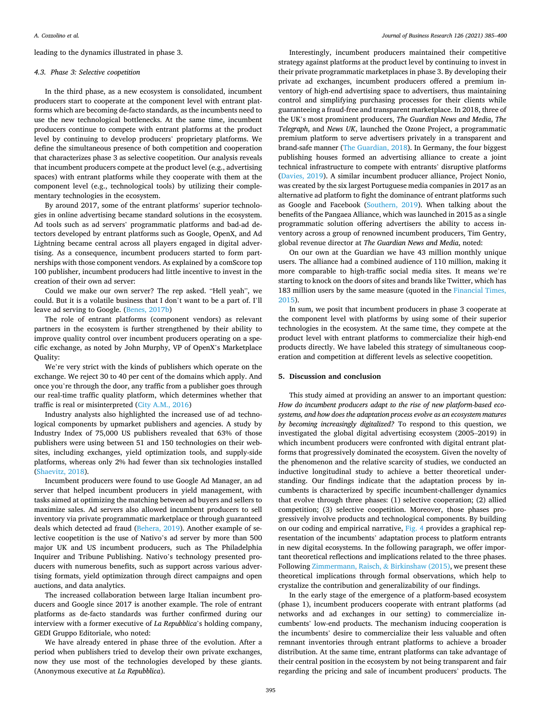leading to the dynamics illustrated in phase 3.

#### *4.3. Phase 3: Selective coopetition*

In the third phase, as a new ecosystem is consolidated, incumbent producers start to cooperate at the component level with entrant platforms which are becoming de-facto standards, as the incumbents need to use the new technological bottlenecks. At the same time, incumbent producers continue to compete with entrant platforms at the product level by continuing to develop producers' proprietary platforms. We define the simultaneous presence of both competition and cooperation that characterizes phase 3 as selective coopetition. Our analysis reveals that incumbent producers compete at the product level (e.g., advertising spaces) with entrant platforms while they cooperate with them at the component level (e.g., technological tools) by utilizing their complementary technologies in the ecosystem.

By around 2017, some of the entrant platforms' superior technologies in online advertising became standard solutions in the ecosystem. Ad tools such as ad servers' programmatic platforms and bad-ad detectors developed by entrant platforms such as Google, OpenX, and Ad Lightning became central across all players engaged in digital advertising. As a consequence, incumbent producers started to form partnerships with those component vendors. As explained by a comScore top 100 publisher, incumbent producers had little incentive to invest in the creation of their own ad server:

Could we make our own server? The rep asked. "Hell yeah", we could. But it is a volatile business that I don't want to be a part of. I'll leave ad serving to Google. (Benes, 2017b)

The role of entrant platforms (component vendors) as relevant partners in the ecosystem is further strengthened by their ability to improve quality control over incumbent producers operating on a specific exchange, as noted by John Murphy, VP of OpenX's Marketplace Quality:

We're very strict with the kinds of publishers which operate on the exchange. We reject 30 to 40 per cent of the domains which apply. And once you're through the door, any traffic from a publisher goes through our real-time traffic quality platform, which determines whether that traffic is real or misinterpreted (City A.M., 2016)

Industry analysts also highlighted the increased use of ad technological components by upmarket publishers and agencies. A study by Industry Index of 75,000 US publishers revealed that 63% of those publishers were using between 51 and 150 technologies on their websites, including exchanges, yield optimization tools, and supply-side platforms, whereas only 2% had fewer than six technologies installed (Shaevitz, 2018).

Incumbent producers were found to use Google Ad Manager, an ad server that helped incumbent producers in yield management, with tasks aimed at optimizing the matching between ad buyers and sellers to maximize sales. Ad servers also allowed incumbent producers to sell inventory via private programmatic marketplace or through guaranteed deals which detected ad fraud (Behera, 2019). Another example of selective coopetition is the use of Nativo's ad server by more than 500 major UK and US incumbent producers, such as The Philadelphia Inquirer and Tribune Publishing. Nativo's technology presented producers with numerous benefits, such as support across various advertising formats, yield optimization through direct campaigns and open auctions, and data analytics.

The increased collaboration between large Italian incumbent producers and Google since 2017 is another example. The role of entrant platforms as de-facto standards was further confirmed during our interview with a former executive of *La Repubblica*'s holding company, GEDI Gruppo Editoriale, who noted:

We have already entered in phase three of the evolution. After a period when publishers tried to develop their own private exchanges, now they use most of the technologies developed by these giants. (Anonymous executive at *La Repubblica*).

Interestingly, incumbent producers maintained their competitive strategy against platforms at the product level by continuing to invest in their private programmatic marketplaces in phase 3. By developing their private ad exchanges, incumbent producers offered a premium inventory of high-end advertising space to advertisers, thus maintaining control and simplifying purchasing processes for their clients while guaranteeing a fraud-free and transparent marketplace. In 2018, three of the UK's most prominent producers, *The Guardian News and Media*, *The Telegraph*, and *News UK*, launched the Ozone Project, a programmatic premium platform to serve advertisers privately in a transparent and brand-safe manner (The Guardian, 2018). In Germany, the four biggest publishing houses formed an advertising alliance to create a joint technical infrastructure to compete with entrants' disruptive platforms (Davies, 2019). A similar incumbent producer alliance, Project Nonio, was created by the six largest Portuguese media companies in 2017 as an alternative ad platform to fight the dominance of entrant platforms such as Google and Facebook (Southern, 2019). When talking about the benefits of the Pangaea Alliance, which was launched in 2015 as a single programmatic solution offering advertisers the ability to access inventory across a group of renowned incumbent producers, Tim Gentry, global revenue director at *The Guardian News and Media*, noted:

On our own at the Guardian we have 43 million monthly unique users. The alliance had a combined audience of 110 million, making it more comparable to high-traffic social media sites. It means we're starting to knock on the doors of sites and brands like Twitter, which has 183 million users by the same measure (quoted in the Financial Times, 2015).

In sum, we posit that incumbent producers in phase 3 cooperate at the component level with platforms by using some of their superior technologies in the ecosystem. At the same time, they compete at the product level with entrant platforms to commercialize their high-end products directly. We have labeled this strategy of simultaneous cooperation and competition at different levels as selective coopetition.

#### **5. Discussion and conclusion**

This study aimed at providing an answer to an important question: *How do incumbent producers adapt to the rise of new platform-based ecosystems, and how does the adaptation process evolve as an ecosystem matures by becoming increasingly digitalized?* To respond to this question, we investigated the global digital advertising ecosystem (2005–2019) in which incumbent producers were confronted with digital entrant platforms that progressively dominated the ecosystem. Given the novelty of the phenomenon and the relative scarcity of studies, we conducted an inductive longitudinal study to achieve a better theoretical understanding. Our findings indicate that the adaptation process by incumbents is characterized by specific incumbent-challenger dynamics that evolve through three phases: (1) selective cooperation; (2) allied competition; (3) selective coopetition. Moreover, those phases progressively involve products and technological components. By building on our coding and empirical narrative, Fig. 4 provides a graphical representation of the incumbents' adaptation process to platform entrants in new digital ecosystems. In the following paragraph, we offer important theoretical reflections and implications related to the three phases. Following Zimmermann, Raisch, & Birkinshaw (2015), we present these theoretical implications through formal observations, which help to crystalize the contribution and generalizability of our findings.

In the early stage of the emergence of a platform-based ecosystem (phase 1), incumbent producers cooperate with entrant platforms (ad networks and ad exchanges in our setting) to commercialize incumbents' low-end products. The mechanism inducing cooperation is the incumbents' desire to commercialize their less valuable and often remnant inventories through entrant platforms to achieve a broader distribution. At the same time, entrant platforms can take advantage of their central position in the ecosystem by not being transparent and fair regarding the pricing and sale of incumbent producers' products. The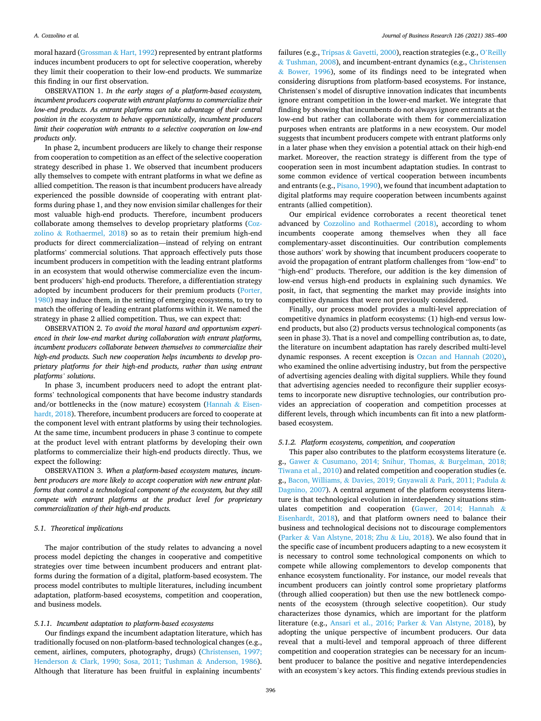moral hazard (Grossman  $&$  Hart, 1992) represented by entrant platforms induces incumbent producers to opt for selective cooperation, whereby they limit their cooperation to their low-end products. We summarize this finding in our first observation.

OBSERVATION 1. *In the early stages of a platform-based ecosystem, incumbent producers cooperate with entrant platforms to commercialize their low-end products. As entrant platforms can take advantage of their central position in the ecosystem to behave opportunistically, incumbent producers limit their cooperation with entrants to a selective cooperation on low-end products only.* 

In phase 2, incumbent producers are likely to change their response from cooperation to competition as an effect of the selective cooperation strategy described in phase 1. We observed that incumbent producers ally themselves to compete with entrant platforms in what we define as allied competition. The reason is that incumbent producers have already experienced the possible downside of cooperating with entrant platforms during phase 1, and they now envision similar challenges for their most valuable high-end products. Therefore, incumbent producers collaborate among themselves to develop proprietary platforms (Cozzolino & Rothaermel, 2018) so as to retain their premium high-end products for direct commercialization—instead of relying on entrant platforms' commercial solutions. That approach effectively puts those incumbent producers in competition with the leading entrant platforms in an ecosystem that would otherwise commercialize even the incumbent producers' high-end products. Therefore, a differentiation strategy adopted by incumbent producers for their premium products (Porter, 1980) may induce them, in the setting of emerging ecosystems, to try to match the offering of leading entrant platforms within it. We named the strategy in phase 2 allied competition. Thus, we can expect that:

OBSERVATION 2. *To avoid the moral hazard and opportunism experienced in their low-end market during collaboration with entrant platforms, incumbent producers collaborate between themselves to commercialize their high-end products. Such new cooperation helps incumbents to develop proprietary platforms for their high-end products, rather than using entrant platforms' solutions*.

In phase 3, incumbent producers need to adopt the entrant platforms' technological components that have become industry standards and/or bottlenecks in the (now mature) ecosystem (Hannah & Eisenhardt, 2018). Therefore, incumbent producers are forced to cooperate at the component level with entrant platforms by using their technologies. At the same time, incumbent producers in phase 3 continue to compete at the product level with entrant platforms by developing their own platforms to commercialize their high-end products directly. Thus, we expect the following:

OBSERVATION 3. *When a platform-based ecosystem matures, incumbent producers are more likely to accept cooperation with new entrant platforms that control a technological component of the ecosystem, but they still compete with entrant platforms at the product level for proprietary commercialization of their high-end products.* 

#### *5.1. Theoretical implications*

The major contribution of the study relates to advancing a novel process model depicting the changes in cooperative and competitive strategies over time between incumbent producers and entrant platforms during the formation of a digital, platform-based ecosystem. The process model contributes to multiple literatures, including incumbent adaptation, platform-based ecosystems, competition and cooperation, and business models.

#### *5.1.1. Incumbent adaptation to platform-based ecosystems*

Our findings expand the incumbent adaptation literature, which has traditionally focused on non-platform-based technological changes (e.g., cement, airlines, computers, photography, drugs) (Christensen, 1997; Henderson & Clark, 1990; Sosa, 2011; Tushman & Anderson, 1986). Although that literature has been fruitful in explaining incumbents'

failures (e.g., Tripsas & Gavetti, 2000), reaction strategies (e.g., O'Reilly & Tushman, 2008), and incumbent-entrant dynamics (e.g., Christensen & Bower, 1996), some of its findings need to be integrated when considering disruptions from platform-based ecosystems. For instance, Christensen's model of disruptive innovation indicates that incumbents ignore entrant competition in the lower-end market. We integrate that finding by showing that incumbents do not always ignore entrants at the low-end but rather can collaborate with them for commercialization purposes when entrants are platforms in a new ecosystem. Our model suggests that incumbent producers compete with entrant platforms only in a later phase when they envision a potential attack on their high-end market. Moreover, the reaction strategy is different from the type of cooperation seen in most incumbent adaptation studies. In contrast to some common evidence of vertical cooperation between incumbents and entrants (e.g., Pisano, 1990), we found that incumbent adaptation to digital platforms may require cooperation between incumbents against entrants (allied competition).

Our empirical evidence corroborates a recent theoretical tenet advanced by Cozzolino and Rothaermel (2018), according to whom incumbents cooperate among themselves when they all face complementary-asset discontinuities. Our contribution complements those authors' work by showing that incumbent producers cooperate to avoid the propagation of entrant platform challenges from "low-end" to "high-end" products. Therefore, our addition is the key dimension of low-end versus high-end products in explaining such dynamics. We posit, in fact, that segmenting the market may provide insights into competitive dynamics that were not previously considered.

Finally, our process model provides a multi-level appreciation of competitive dynamics in platform ecosystems: (1) high-end versus lowend products, but also (2) products versus technological components (as seen in phase 3). That is a novel and compelling contribution as, to date, the literature on incumbent adaptation has rarely described multi-level dynamic responses. A recent exception is Ozcan and Hannah (2020), who examined the online advertising industry, but from the perspective of advertising agencies dealing with digital suppliers. While they found that advertising agencies needed to reconfigure their supplier ecosystems to incorporate new disruptive technologies, our contribution provides an appreciation of cooperation and competition processes at different levels, through which incumbents can fit into a new platformbased ecosystem.

#### *5.1.2. Platform ecosystems, competition, and cooperation*

This paper also contributes to the platform ecosystems literature (e. g., Gawer & Cusumano, 2014; Snihur, Thomas, & Burgelman, 2018; Tiwana et al., 2010) and related competition and cooperation studies (e. g., Bacon, Williams, & Davies, 2019; Gnyawali & Park, 2011; Padula & Dagnino, 2007). A central argument of the platform ecosystems literature is that technological evolution in interdependency situations stimulates competition and cooperation (Gawer, 2014; Hannah & Eisenhardt, 2018), and that platform owners need to balance their business and technological decisions not to discourage complementors (Parker & Van Alstyne, 2018; Zhu & Liu, 2018). We also found that in the specific case of incumbent producers adapting to a new ecosystem it is necessary to control some technological components on which to compete while allowing complementors to develop components that enhance ecosystem functionality. For instance, our model reveals that incumbent producers can jointly control some proprietary platforms (through allied cooperation) but then use the new bottleneck components of the ecosystem (through selective coopetition). Our study characterizes those dynamics, which are important for the platform literature (e.g., Ansari et al., 2016; Parker & Van Alstyne, 2018), by adopting the unique perspective of incumbent producers. Our data reveal that a multi-level and temporal approach of three different competition and cooperation strategies can be necessary for an incumbent producer to balance the positive and negative interdependencies with an ecosystem's key actors. This finding extends previous studies in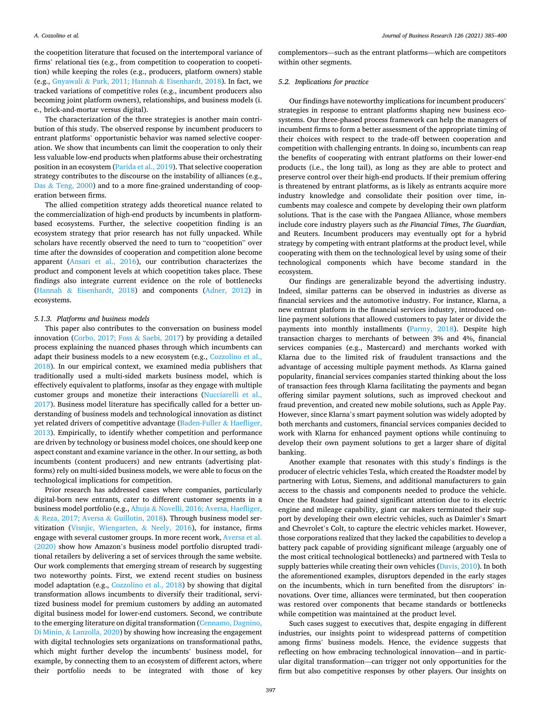the coopetition literature that focused on the intertemporal variance of firms' relational ties (e.g., from competition to cooperation to coopetition) while keeping the roles (e.g., producers, platform owners) stable (e.g., Gnyawali & Park, 2011; Hannah & Eisenhardt, 2018). In fact, we tracked variations of competitive roles (e.g., incumbent producers also becoming joint platform owners), relationships, and business models (i. e., brick-and-mortar versus digital).

The characterization of the three strategies is another main contribution of this study. The observed response by incumbent producers to entrant platforms' opportunistic behavior was named selective cooperation. We show that incumbents can limit the cooperation to only their less valuable low-end products when platforms abuse their orchestrating position in an ecosystem (Parida et al., 2019). That selective cooperation strategy contributes to the discourse on the instability of alliances (e.g., Das & Teng, 2000) and to a more fine-grained understanding of cooperation between firms.

The allied competition strategy adds theoretical nuance related to the commercialization of high-end products by incumbents in platformbased ecosystems. Further, the selective coopetition finding is an ecosystem strategy that prior research has not fully unpacked. While scholars have recently observed the need to turn to "coopetition" over time after the downsides of cooperation and competition alone become apparent (Ansari et al., 2016), our contribution characterizes the product and component levels at which coopetition takes place. These findings also integrate current evidence on the role of bottlenecks (Hannah & Eisenhardt, 2018) and components (Adner, 2012) in ecosystems.

#### *5.1.3. Platforms and business models*

This paper also contributes to the conversation on business model innovation (Corbo, 2017; Foss & Saebi, 2017) by providing a detailed process explaining the nuanced phases through which incumbents can adapt their business models to a new ecosystem (e.g., Cozzolino et al., 2018). In our empirical context, we examined media publishers that traditionally used a multi-sided markets business model, which is effectively equivalent to platforms, insofar as they engage with multiple customer groups and monetize their interactions (Nucciarelli et al., 2017). Business model literature has specifically called for a better understanding of business models and technological innovation as distinct yet related drivers of competitive advantage (Baden-Fuller & Haefliger, 2013). Empirically, to identify whether competition and performance are driven by technology or business model choices, one should keep one aspect constant and examine variance in the other. In our setting, as both incumbents (content producers) and new entrants (advertising platforms) rely on multi-sided business models, we were able to focus on the technological implications for competition.

Prior research has addressed cases where companies, particularly digital-born new entrants, cater to different customer segments in a business model portfolio (e.g., Ahuja & Novelli, 2016; Aversa, Haefliger, & Reza, 2017; Aversa & Guillotin, 2018). Through business model servitization (Visnjic, Wiengarten, & Neely, 2016), for instance, firms engage with several customer groups. In more recent work, Aversa et al. (2020) show how Amazon's business model portfolio disrupted traditional retailers by delivering a set of services through the same website. Our work complements that emerging stream of research by suggesting two noteworthy points. First, we extend recent studies on business model adaptation (e.g., Cozzolino et al., 2018) by showing that digital transformation allows incumbents to diversify their traditional, servitized business model for premium customers by adding an automated digital business model for lower-end customers. Second, we contribute to the emerging literature on digital transformation (Cennamo, Dagnino, Di Minin, & Lanzolla, 2020) by showing how increasing the engagement with digital technologies sets organizations on transformational paths, which might further develop the incumbents' business model, for example, by connecting them to an ecosystem of different actors, where their portfolio needs to be integrated with those of key

complementors—such as the entrant platforms—which are competitors within other segments.

### *5.2. Implications for practice*

Our findings have noteworthy implications for incumbent producers' strategies in response to entrant platforms shaping new business ecosystems. Our three-phased process framework can help the managers of incumbent firms to form a better assessment of the appropriate timing of their choices with respect to the trade-off between cooperation and competition with challenging entrants. In doing so, incumbents can reap the benefits of cooperating with entrant platforms on their lower-end products (i.e., the long tail), as long as they are able to protect and preserve control over their high-end products. If their premium offering is threatened by entrant platforms, as is likely as entrants acquire more industry knowledge and consolidate their position over time, incumbents may coalesce and compete by developing their own platform solutions. That is the case with the Pangaea Alliance, whose members include core industry players such as *the Financial Times*, *The Guardian*, and Reuters. Incumbent producers may eventually opt for a hybrid strategy by competing with entrant platforms at the product level, while cooperating with them on the technological level by using some of their technological components which have become standard in the ecosystem.

Our findings are generalizable beyond the advertising industry. Indeed, similar patterns can be observed in industries as diverse as financial services and the automotive industry. For instance, Klarna, a new entrant platform in the financial services industry, introduced online payment solutions that allowed customers to pay later or divide the payments into monthly installments (Parmy, 2018). Despite high transaction charges to merchants of between 3% and 4%, financial services companies (e.g., Mastercard) and merchants worked with Klarna due to the limited risk of fraudulent transactions and the advantage of accessing multiple payment methods. As Klarna gained popularity, financial services companies started thinking about the loss of transaction fees through Klarna facilitating the payments and began offering similar payment solutions, such as improved checkout and fraud prevention, and created new mobile solutions, such as Apple Pay. However, since Klarna's smart payment solution was widely adopted by both merchants and customers, financial services companies decided to work with Klarna for enhanced payment options while continuing to develop their own payment solutions to get a larger share of digital banking.

Another example that resonates with this study's findings is the producer of electric vehicles Tesla, which created the Roadster model by partnering with Lotus, Siemens, and additional manufacturers to gain access to the chassis and components needed to produce the vehicle. Once the Roadster had gained significant attention due to its electric engine and mileage capability, giant car makers terminated their support by developing their own electric vehicles, such as Daimler's Smart and Chevrolet's Colt, to capture the electric vehicles market. However, those corporations realized that they lacked the capabilities to develop a battery pack capable of providing significant mileage (arguably one of the most critical technological bottlenecks) and partnered with Tesla to supply batteries while creating their own vehicles (Davis, 2010). In both the aforementioned examples, disruptors depended in the early stages on the incumbents, which in turn benefited from the disruptors' innovations. Over time, alliances were terminated, but then cooperation was restored over components that became standards or bottlenecks while competition was maintained at the product level.

Such cases suggest to executives that, despite engaging in different industries, our insights point to widespread patterns of competition among firms' business models. Hence, the evidence suggests that reflecting on how embracing technological innovation—and in particular digital transformation—can trigger not only opportunities for the firm but also competitive responses by other players. Our insights on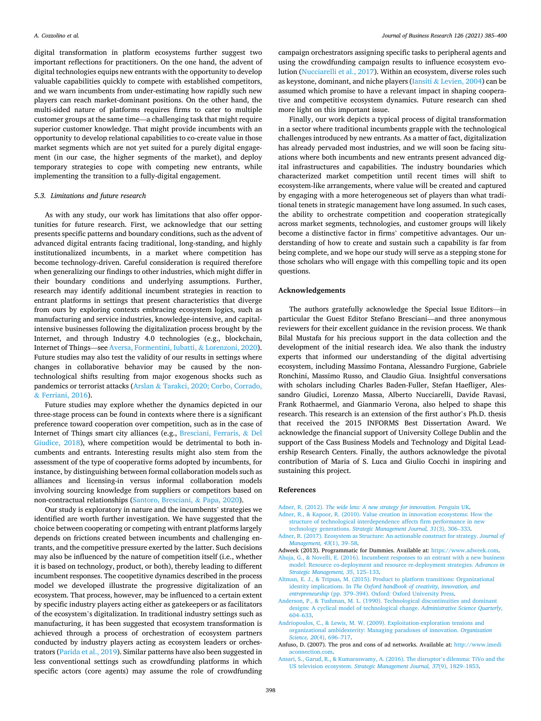digital transformation in platform ecosystems further suggest two important reflections for practitioners. On the one hand, the advent of digital technologies equips new entrants with the opportunity to develop valuable capabilities quickly to compete with established competitors, and we warn incumbents from under-estimating how rapidly such new players can reach market-dominant positions. On the other hand, the multi-sided nature of platforms requires firms to cater to multiple customer groups at the same time—a challenging task that might require superior customer knowledge. That might provide incumbents with an opportunity to develop relational capabilities to co-create value in those market segments which are not yet suited for a purely digital engagement (in our case, the higher segments of the market), and deploy temporary strategies to cope with competing new entrants, while implementing the transition to a fully-digital engagement.

## *5.3. Limitations and future research*

As with any study, our work has limitations that also offer opportunities for future research. First, we acknowledge that our setting presents specific patterns and boundary conditions, such as the advent of advanced digital entrants facing traditional, long-standing, and highly institutionalized incumbents, in a market where competition has become technology-driven. Careful consideration is required therefore when generalizing our findings to other industries, which might differ in their boundary conditions and underlying assumptions. Further, research may identify additional incumbent strategies in reaction to entrant platforms in settings that present characteristics that diverge from ours by exploring contexts embracing ecosystem logics, such as manufacturing and service industries, knowledge-intensive, and capitalintensive businesses following the digitalization process brought by the Internet, and through Industry 4.0 technologies (e.g., blockchain, Internet of Things—see Aversa, Formentini, Iubatti, & Lorenzoni, 2020). Future studies may also test the validity of our results in settings where changes in collaborative behavior may be caused by the nontechnological shifts resulting from major exogenous shocks such as pandemics or terrorist attacks (Arslan & Tarakci, 2020; Corbo, Corrado, & Ferriani, 2016).

Future studies may explore whether the dynamics depicted in our three-stage process can be found in contexts where there is a significant preference toward cooperation over competition, such as in the case of Internet of Things smart city alliances (e.g., Bresciani, Ferraris, & Del Giudice, 2018), where competition would be detrimental to both incumbents and entrants. Interesting results might also stem from the assessment of the type of cooperative forms adopted by incumbents, for instance, by distinguishing between formal collaboration models such as alliances and licensing-in versus informal collaboration models involving sourcing knowledge from suppliers or competitors based on non-contractual relationships (Santoro, Bresciani, & Papa, 2020).

Our study is exploratory in nature and the incumbents' strategies we identified are worth further investigation. We have suggested that the choice between cooperating or competing with entrant platforms largely depends on frictions created between incumbents and challenging entrants, and the competitive pressure exerted by the latter. Such decisions may also be influenced by the nature of competition itself (i.e., whether it is based on technology, product, or both), thereby leading to different incumbent responses. The coopetitive dynamics described in the process model we developed illustrate the progressive digitalization of an ecosystem. That process, however, may be influenced to a certain extent by specific industry players acting either as gatekeepers or as facilitators of the ecosystem's digitalization. In traditional industry settings such as manufacturing, it has been suggested that ecosystem transformation is achieved through a process of orchestration of ecosystem partners conducted by industry players acting as ecosystem leaders or orchestrators (Parida et al., 2019). Similar patterns have also been suggested in less conventional settings such as crowdfunding platforms in which specific actors (core agents) may assume the role of crowdfunding

campaign orchestrators assigning specific tasks to peripheral agents and using the crowdfunding campaign results to influence ecosystem evolution (Nucciarelli et al., 2017). Within an ecosystem, diverse roles such as keystone, dominant, and niche players (Iansiti & Levien, 2004) can be assumed which promise to have a relevant impact in shaping cooperative and competitive ecosystem dynamics. Future research can shed more light on this important issue.

Finally, our work depicts a typical process of digital transformation in a sector where traditional incumbents grapple with the technological challenges introduced by new entrants. As a matter of fact, digitalization has already pervaded most industries, and we will soon be facing situations where both incumbents and new entrants present advanced digital infrastructures and capabilities. The industry boundaries which characterized market competition until recent times will shift to ecosystem-like arrangements, where value will be created and captured by engaging with a more heterogeneous set of players than what traditional tenets in strategic management have long assumed. In such cases, the ability to orchestrate competition and cooperation strategically across market segments, technologies, and customer groups will likely become a distinctive factor in firms' competitive advantages. Our understanding of how to create and sustain such a capability is far from being complete, and we hope our study will serve as a stepping stone for those scholars who will engage with this compelling topic and its open questions.

### **Acknowledgements**

The authors gratefully acknowledge the Special Issue Editors—in particular the Guest Editor Stefano Bresciani—and three anonymous reviewers for their excellent guidance in the revision process. We thank Bilal Mustafa for his precious support in the data collection and the development of the initial research idea. We also thank the industry experts that informed our understanding of the digital advertising ecosystem, including Massimo Fontana, Alessandro Furgione, Gabriele Ronchini, Massimo Russo, and Claudio Giua. Insightful conversations with scholars including Charles Baden-Fuller, Stefan Haefliger, Alessandro Giudici, Lorenzo Massa, Alberto Nucciarelli, Davide Ravasi, Frank Rothaermel, and Gianmario Verona, also helped to shape this research. This research is an extension of the first author's Ph.D. thesis that received the 2015 INFORMS Best Dissertation Award. We acknowledge the financial support of University College Dublin and the support of the Cass Business Models and Technology and Digital Leadership Research Centers. Finally, the authors acknowledge the pivotal contribution of Maria of S. Luca and Giulio Cocchi in inspiring and sustaining this project.

## **References**

- Adner, R. (2012). *[The wide lens: A new strategy for innovation](http://refhub.elsevier.com/S0148-2963(20)30889-4/h0005)*. Penguin UK.
- [Adner, R., & Kapoor, R. \(2010\). Value creation in innovation ecosystems: How the](http://refhub.elsevier.com/S0148-2963(20)30889-4/h0015) [structure of technological interdependence affects firm performance in new](http://refhub.elsevier.com/S0148-2963(20)30889-4/h0015)  technology generations. *[Strategic Management Journal, 31](http://refhub.elsevier.com/S0148-2963(20)30889-4/h0015)*(3), 306–333.
- [Adner, R. \(2017\). Ecosystem as Structure: An actionable construct for strategy.](http://refhub.elsevier.com/S0148-2963(20)30889-4/h0020) *Journal of [Management, 43](http://refhub.elsevier.com/S0148-2963(20)30889-4/h0020)*(1), 39–58.
- Adweek (2013). Programmatic for Dummies. Available at: [https://www.adweek.com.](https://www.adweek.com)
- [Ahuja, G., & Novelli, E. \(2016\). Incumbent responses to an entrant with a new business](http://refhub.elsevier.com/S0148-2963(20)30889-4/h0030)  [model: Resource co-deployment and resource re-deployment strategies.](http://refhub.elsevier.com/S0148-2963(20)30889-4/h0030) *Advances in [Strategic Management, 35](http://refhub.elsevier.com/S0148-2963(20)30889-4/h0030)*, 125–133.
- [Altman, E. J., & Tripsas, M. \(2015\). Product to platform transitions: Organizational](http://refhub.elsevier.com/S0148-2963(20)30889-4/h0035)  identity implications. In *[The Oxford handbook of creativity, innovation, and](http://refhub.elsevier.com/S0148-2963(20)30889-4/h0035) entrepreneurship* (pp. 379–[394\). Oxford: Oxford University Press.](http://refhub.elsevier.com/S0148-2963(20)30889-4/h0035)
- [Anderson, P., & Tushman, M. L. \(1990\). Technological discontinuities and dominant](http://refhub.elsevier.com/S0148-2963(20)30889-4/h0040) [designs: A cyclical model of technological change.](http://refhub.elsevier.com/S0148-2963(20)30889-4/h0040) *Administrative Science Quarterly*, 604–[633](http://refhub.elsevier.com/S0148-2963(20)30889-4/h0040).
- [Andriopoulos, C., & Lewis, M. W. \(2009\). Exploitation-exploration tensions and](http://refhub.elsevier.com/S0148-2963(20)30889-4/h0045) [organizational ambidexterity: Managing paradoxes of innovation.](http://refhub.elsevier.com/S0148-2963(20)30889-4/h0045) *Organization [Science, 20](http://refhub.elsevier.com/S0148-2963(20)30889-4/h0045)*(4), 696–717.
- Anfuso, D. (2007). The pros and cons of ad networks. Available at: [http://www.imedi](http://www.imediaconnection.com) [aconnection.com](http://www.imediaconnection.com).
- [Ansari, S., Garud, R., & Kumaraswamy, A. \(2016\). The disruptor](http://refhub.elsevier.com/S0148-2963(20)30889-4/h0055)'s dilemma: TiVo and the US television ecosystem. *[Strategic Management Journal, 37](http://refhub.elsevier.com/S0148-2963(20)30889-4/h0055)*(9), 1829–1853.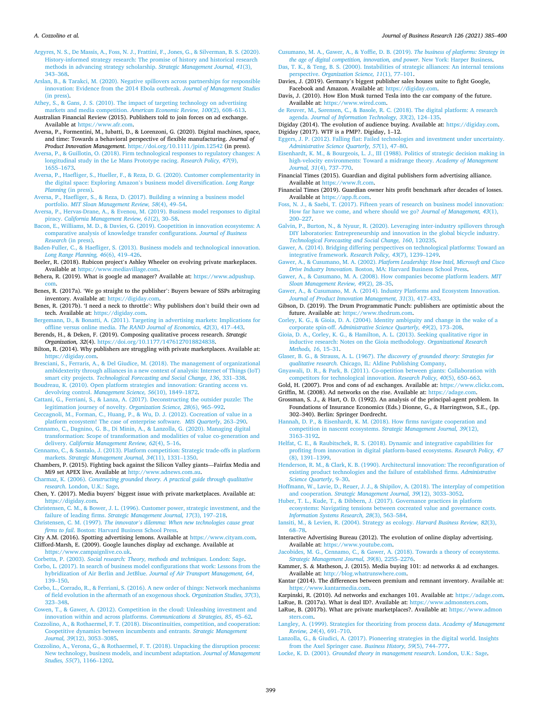#### *A. Cozzolino et al.*

[Argyres, N. S., De Massis, A., Foss, N. J., Frattini, F., Jones, G., & Silverman, B. S. \(2020\).](http://refhub.elsevier.com/S0148-2963(20)30889-4/h0060)  [History-informed strategy research: The promise of history and historical research](http://refhub.elsevier.com/S0148-2963(20)30889-4/h0060)  [methods in advancing strategy scholarship.](http://refhub.elsevier.com/S0148-2963(20)30889-4/h0060) *Strategic Management Journal, 41*(3), 343–[368](http://refhub.elsevier.com/S0148-2963(20)30889-4/h0060).

[Arslan, B., & Tarakci, M. \(2020\). Negative spillovers across partnerships for responsible](http://refhub.elsevier.com/S0148-2963(20)30889-4/h0065)  [innovation: Evidence from the 2014 Ebola outbreak.](http://refhub.elsevier.com/S0148-2963(20)30889-4/h0065) *Journal of Management Studies*  [\(in press\)](http://refhub.elsevier.com/S0148-2963(20)30889-4/h0065).

[Athey, S., & Gans, J. S. \(2010\). The impact of targeting technology on advertising](http://refhub.elsevier.com/S0148-2963(20)30889-4/h0070)  [markets and media competition.](http://refhub.elsevier.com/S0148-2963(20)30889-4/h0070) *American Economic Review, 100*(2), 608–613. Australian Financial Review (2015). Publishers told to join forces on ad exchange.

Available at <https://www.afr.com>. Aversa, P., Formentini, M., Iubatti, D., & Lorenzoni, G. (2020). Digital machines, space,

and time: Towards a behavioral perspective of flexible manufacturing. *Journal of Product Innovation Management*. <https://doi.org/10.1111/jpim.12542> (in press).

[Aversa, P., & Guillotin, O. \(2018\). Firm technological responses to regulatory changes: A](http://refhub.elsevier.com/S0148-2963(20)30889-4/h0085)  [longitudinal study in the Le Mans Prototype racing.](http://refhub.elsevier.com/S0148-2963(20)30889-4/h0085) *Research Policy, 47*(9), [1655](http://refhub.elsevier.com/S0148-2963(20)30889-4/h0085)–1673.

[Aversa, P., Haefliger, S., Hueller, F., & Reza, D. G. \(2020\). Customer complementarity in](http://refhub.elsevier.com/S0148-2963(20)30889-4/h0090)  [the digital space: Exploring Amazon](http://refhub.elsevier.com/S0148-2963(20)30889-4/h0090)'s business model diversification. *Long Range Planning* [\(in press\).](http://refhub.elsevier.com/S0148-2963(20)30889-4/h0090)

[Aversa, P., Haefliger, S., & Reza, D. \(2017\). Building a winning a business model](http://refhub.elsevier.com/S0148-2963(20)30889-4/h0095) portfolio. *[MIT Sloan Management Review, 58](http://refhub.elsevier.com/S0148-2963(20)30889-4/h0095)*(4), 49–54.

[Aversa, P., Hervas-Drane, A., & Evenou, M. \(2019\). Business model responses to digital](http://refhub.elsevier.com/S0148-2963(20)30889-4/h0100)  piracy. *[California Management Review, 61](http://refhub.elsevier.com/S0148-2963(20)30889-4/h0100)*(2), 30–58.

[Bacon, E., Williams, M. D., & Davies, G. \(2019\). Coopetition in innovation ecosystems: A](http://refhub.elsevier.com/S0148-2963(20)30889-4/h0105)  [comparative analysis of knowledge transfer configurations.](http://refhub.elsevier.com/S0148-2963(20)30889-4/h0105) *Journal of Business Research* [\(in press\)](http://refhub.elsevier.com/S0148-2963(20)30889-4/h0105).

[Baden-Fuller, C., & Haefliger, S. \(2013\). Business models and technological innovation.](http://refhub.elsevier.com/S0148-2963(20)30889-4/h0110)  *[Long Range Planning, 46](http://refhub.elsevier.com/S0148-2963(20)30889-4/h0110)*(6), 419–426.

Beeler, R. (2018). Rubicon project's Ashley Wheeler on evolving private markeplaces. Available at <https://www.mediavillage.com>.

Behera, R. (2019). What is google ad manager? Available at: [https://www.adpushup.](https://www.adpushup.com) [com](https://www.adpushup.com).

Benes, R. (2017a). 'We go straight to the publisher': Buyers beware of SSPs arbitraging inventory. Available at: <https://digiday.com>.

Benes, R. (2017b). 'I need a neck to throttle': Why publishers don't build their own ad tech. Available at:<https://digiday.com>.

[Bergemann, D., & Bonatti, A. \(2011\). Targeting in advertising markets: Implications for](http://refhub.elsevier.com/S0148-2963(20)30889-4/h0135)  offline versus online media. *[The RAND Journal of Economics, 42](http://refhub.elsevier.com/S0148-2963(20)30889-4/h0135)*(3), 417–443.

Berends, H., & Deken, F. (2019). Composing qualitative process research. *Strategic Organization, 32*(4). [https://doi.org/10.1177/1476127018824838.](https://doi.org/10.1177/1476127018824838)

Bilton, R. (2014). Why publishers are struggling with private marketplaces. Available at: <https://digiday.com>.

[Bresciani, S., Ferraris, A., & Del Giudice, M. \(2018\). The management of organizational](http://refhub.elsevier.com/S0148-2963(20)30889-4/h0150)  [ambidexterity through alliances in a new context of analysis: Internet of Things \(IoT\)](http://refhub.elsevier.com/S0148-2963(20)30889-4/h0150)  smart city projects. *[Technological Forecasting and Social Change, 136](http://refhub.elsevier.com/S0148-2963(20)30889-4/h0150)*, 331–338.

[Boudreau, K. \(2010\). Open platform strategies and innovation: Granting access vs.](http://refhub.elsevier.com/S0148-2963(20)30889-4/h9000) devolving control. *[Management Science, 56](http://refhub.elsevier.com/S0148-2963(20)30889-4/h9000)*(10), 1849–1872.

[Cattani, G., Ferriani, S., & Lanza, A. \(2017\). Deconstructing the outsider puzzle: The](http://refhub.elsevier.com/S0148-2963(20)30889-4/h0155)  [legitimation journey of novelty.](http://refhub.elsevier.com/S0148-2963(20)30889-4/h0155) *Organization Science, 28*(6), 965–992.

[Ceccagnoli, M., Forman, C., Huang, P., & Wu, D. J. \(2012\). Cocreation of value in a](http://refhub.elsevier.com/S0148-2963(20)30889-4/h0160)  [platform ecosystem! The case of enterprise software.](http://refhub.elsevier.com/S0148-2963(20)30889-4/h0160) *MIS Quarterly*, 263–290.

[Cennamo, C., Dagnino, G. B., Di Minin, A., & Lanzolla, G. \(2020\). Managing digital](http://refhub.elsevier.com/S0148-2963(20)30889-4/h0165)  [transformation: Scope of transformation and modalities of value co-generation and](http://refhub.elsevier.com/S0148-2963(20)30889-4/h0165)  delivery. *[California Management Review, 62](http://refhub.elsevier.com/S0148-2963(20)30889-4/h0165)*(4), 5–16.

[Cennamo, C., & Santalo, J. \(2013\). Platform competition: Strategic trade-offs in platform](http://refhub.elsevier.com/S0148-2963(20)30889-4/h0170)  markets. *[Strategic Management Journal, 34](http://refhub.elsevier.com/S0148-2963(20)30889-4/h0170)*(11), 1331–1350.

Chambers, P. (2015). Fighting back against the Silicon Valley giants—Fairfax Media and Mi9 set APEX live. Available at [http://www.adnews.com.au.](http://www.adnews.com.au)

Charmaz, K. (2006). *[Constructing grounded theory. A practical guide through qualitative](http://refhub.elsevier.com/S0148-2963(20)30889-4/h0180) research*[. London, U.K.: Sage.](http://refhub.elsevier.com/S0148-2963(20)30889-4/h0180)

Chen, Y. (2017). Media buyers' biggest issue with private marketplaces. Available at: <https://digiday.com>.

[Christensen, C. M., & Bower, J. L. \(1996\). Customer power, strategic investment, and the](http://refhub.elsevier.com/S0148-2963(20)30889-4/h0190)  failure of leading firms. *[Strategic Management Journal, 17](http://refhub.elsevier.com/S0148-2963(20)30889-4/h0190)*(3), 197–218. Christensen, C. M. (1997). *The innovator'[s dilemma: When new technologies cause great](http://refhub.elsevier.com/S0148-2963(20)30889-4/h0195)* 

*firms to fail*[. Boston: Harvard Business School Press.](http://refhub.elsevier.com/S0148-2963(20)30889-4/h0195)

City A.M. (2016). Spotting advertising lemons. Available at [https://www.cityam.com.](https://www.cityam.com) Clifford-Marsh, E. (2009). Google launches display ad exchange. Available at <https://www.campaignlive.co.uk>.

Corbetta, P. (2003). *[Social research: Theory, methods and techniques](http://refhub.elsevier.com/S0148-2963(20)30889-4/h0210)*. London: Sage.

[Corbo, L. \(2017\). In search of business model configurations that work: Lessons from the](http://refhub.elsevier.com/S0148-2963(20)30889-4/h0215)  [hybridization of Air Berlin and JetBlue.](http://refhub.elsevier.com/S0148-2963(20)30889-4/h0215) *Journal of Air Transport Management, 64*, 139–[150](http://refhub.elsevier.com/S0148-2963(20)30889-4/h0215).

[Corbo, L., Corrado, R., & Ferriani, S. \(2016\). A new order of things: Network mechanisms](http://refhub.elsevier.com/S0148-2963(20)30889-4/h0220)  [of field evolution in the aftermath of an exogenous shock.](http://refhub.elsevier.com/S0148-2963(20)30889-4/h0220) *Organization Studies, 37*(3), 323–[348](http://refhub.elsevier.com/S0148-2963(20)30889-4/h0220).

[Cowen, T., & Gawer, A. \(2012\). Competition in the cloud: Unleashing investment and](http://refhub.elsevier.com/S0148-2963(20)30889-4/h0225)  [innovation within and across platforms.](http://refhub.elsevier.com/S0148-2963(20)30889-4/h0225) *Communications & Strategies, 85*, 45–62.

[Cozzolino, A., & Rothaermel, F. T. \(2018\). Discontinuities, competition, and cooperation:](http://refhub.elsevier.com/S0148-2963(20)30889-4/h0230)  [Coopetitive dynamics between incumbents and entrants.](http://refhub.elsevier.com/S0148-2963(20)30889-4/h0230) *Strategic Management [Journal, 39](http://refhub.elsevier.com/S0148-2963(20)30889-4/h0230)*(12), 3053–3085.

[Cozzolino, A., Verona, G., & Rothaermel, F. T. \(2018\). Unpacking the disruption process:](http://refhub.elsevier.com/S0148-2963(20)30889-4/h0235)  [New technology, business models, and incumbent adaptation.](http://refhub.elsevier.com/S0148-2963(20)30889-4/h0235) *Journal of Management [Studies, 55](http://refhub.elsevier.com/S0148-2963(20)30889-4/h0235)*(7), 1166–1202.

[Cusumano, M. A., Gawer, A., & Yoffie, D. B. \(2019\).](http://refhub.elsevier.com/S0148-2963(20)30889-4/h0240) *The business of platforms: Strategy in [the age of digital competition, innovation, and power](http://refhub.elsevier.com/S0148-2963(20)30889-4/h0240)*. New York: Harper Business.

[Das, T. K., & Teng, B. S. \(2000\). Instabilities of strategic alliances: An internal tensions](http://refhub.elsevier.com/S0148-2963(20)30889-4/h0245)  perspective. *[Organization Science, 11](http://refhub.elsevier.com/S0148-2963(20)30889-4/h0245)*(1), 77–101.

Davies, J. (2019). Germany's biggest publisher sales houses unite to fight Google, Facebook and Amazon. Available at: [https://digiday.com.](https://digiday.com)

Davis, J. (2010). How Elon Musk turned Tesla into the car company of the future. Available at: <https://www.wired.com>.

de Reuver, M., Sø[rensen, C., & Basole, R. C. \(2018\). The digital platform: A research](http://refhub.elsevier.com/S0148-2963(20)30889-4/h0260) agenda. *[Journal of Information Technology, 33](http://refhub.elsevier.com/S0148-2963(20)30889-4/h0260)*(2), 124–135.

Digiday (2014). The evolution of audience buying. Available at: <https://digiday.com>. Digiday (2017). WTF is a PMP?. Digiday, 1–12.

[Eggers, J. P. \(2012\). Falling flat: Failed technologies and investment under uncertainty.](http://refhub.elsevier.com/S0148-2963(20)30889-4/h0275)  *[Administrative Science Quarterly, 57](http://refhub.elsevier.com/S0148-2963(20)30889-4/h0275)*(1), 47–80.

[Eisenhardt, K. M., & Bourgeois, L. J., III \(1988\). Politics of strategic decision making in](http://refhub.elsevier.com/S0148-2963(20)30889-4/h0280)  [high-velocity environments: Toward a midrange theory.](http://refhub.elsevier.com/S0148-2963(20)30889-4/h0280) *Academy of Management [Journal, 31](http://refhub.elsevier.com/S0148-2963(20)30889-4/h0280)*(4), 737–770.

Financial Times (2015). Guardian and digital publishers form advertising alliance.<br>Available at https://www.fr.com. Available at https:/

Financial Times (2019). Guardian owner hits profit benchmark after decades of losses. Available at [https://app.ft.com.](https://app.ft.com)

[Foss, N. J., & Saebi, T. \(2017\). Fifteen years of research on business model innovation:](http://refhub.elsevier.com/S0148-2963(20)30889-4/h0295)  [How far have we come, and where should we go?](http://refhub.elsevier.com/S0148-2963(20)30889-4/h0295) *Journal of Management, 43*(1), 200–[227](http://refhub.elsevier.com/S0148-2963(20)30889-4/h0295).

[Galvin, P., Burton, N., & Nyuur, R. \(2020\). Leveraging inter-industry spillovers through](http://refhub.elsevier.com/S0148-2963(20)30889-4/h0300)  [DIY laboratories: Entrepreneurship and innovation in the global bicycle industry.](http://refhub.elsevier.com/S0148-2963(20)30889-4/h0300) *[Technological Forecasting and Social Change, 160](http://refhub.elsevier.com/S0148-2963(20)30889-4/h0300)*, 120235.

[Gawer, A. \(2014\). Bridging differing perspectives on technological platforms: Toward an](http://refhub.elsevier.com/S0148-2963(20)30889-4/h0305)  [integrative framework.](http://refhub.elsevier.com/S0148-2963(20)30889-4/h0305) *Research Policy, 43*(7), 1239–1249.

Gawer, A., & Cusumano, M. A. (2002). *[Platform Leadership: How Intel, Microsoft and Cisco](http://refhub.elsevier.com/S0148-2963(20)30889-4/h0310)  Drive Industry Innovation*[. Boston, MA: Harvard Business School Press](http://refhub.elsevier.com/S0148-2963(20)30889-4/h0310).

[Gawer, A., & Cusumano, M. A. \(2008\). How companies become platform leaders.](http://refhub.elsevier.com/S0148-2963(20)30889-4/h0315) *MIT [Sloan Management Review, 49](http://refhub.elsevier.com/S0148-2963(20)30889-4/h0315)*(2), 28–35.

[Gawer, A., & Cusumano, M. A. \(2014\). Industry Platforms and Ecosystem Innovation.](http://refhub.elsevier.com/S0148-2963(20)30889-4/h0320)  *[Journal of Product Innovation Management, 31](http://refhub.elsevier.com/S0148-2963(20)30889-4/h0320)*(3), 417–433.

Gibson, D. (2019). The Drum Programmatic Punch: publishers are optimistic about the future. Available at: <https://www.thedrum.com>.

[Corley, K. G., & Gioia, D. A. \(2004\). Identity ambiguity and change in the wake of a](http://refhub.elsevier.com/S0148-2963(20)30889-4/h0330) corporate spin-off. *[Administrative Science Quarterly, 49](http://refhub.elsevier.com/S0148-2963(20)30889-4/h0330)*(2), 173–208.

[Gioia, D. A., Corley, K. G., & Hamilton, A. L. \(2013\). Seeking qualitative rigor in](http://refhub.elsevier.com/S0148-2963(20)30889-4/h0335)  [inductive research: Notes on the Gioia methodology.](http://refhub.elsevier.com/S0148-2963(20)30889-4/h0335) *Organizational Research [Methods, 16](http://refhub.elsevier.com/S0148-2963(20)30889-4/h0335)*, 15–31.

Glaser, B. G., & Strauss, A. L. (1967). *[The discovery of grounded theory: Strategies for](http://refhub.elsevier.com/S0148-2963(20)30889-4/h0340)  qualitative research*[. Chicago, IL: Aldine Publishing Company.](http://refhub.elsevier.com/S0148-2963(20)30889-4/h0340)

[Gnyawali, D. R., & Park, B. \(2011\). Co-opetition between giants: Collaboration with](http://refhub.elsevier.com/S0148-2963(20)30889-4/h0345)  [competitors for technological innovation.](http://refhub.elsevier.com/S0148-2963(20)30889-4/h0345) *Research Policy, 40*(5), 650–663.

Gold, H. (2007). Pros and cons of ad exchanges. Available at: <https://www.clickz.com>. Griffin, M. (2008). Ad networks on the rise. Available at: <https://adage.com>.

Grossman, S. J., & Hart, O. D. (1992). An analysis of the principal-agent problem. In Foundations of Insurance Economics (Eds.) Dionne, G., & Harringtwon, S.E., (pp. 302–340). Berlin: Springer Dordrecht.

[Hannah, D. P., & Eisenhardt, K. M. \(2018\). How firms navigate cooperation and](http://refhub.elsevier.com/S0148-2963(20)30889-4/h0365)  [competition in nascent ecosystems.](http://refhub.elsevier.com/S0148-2963(20)30889-4/h0365) *Strategic Management Journal, 39*(12), [3163](http://refhub.elsevier.com/S0148-2963(20)30889-4/h0365)–3192.

[Helfat, C. E., & Raubitschek, R. S. \(2018\). Dynamic and integrative capabilities for](http://refhub.elsevier.com/S0148-2963(20)30889-4/h0370)  [profiting from innovation in digital platform-based ecosystems.](http://refhub.elsevier.com/S0148-2963(20)30889-4/h0370) *Research Policy, 47*  [\(8\), 1391](http://refhub.elsevier.com/S0148-2963(20)30889-4/h0370)–1399.

[Henderson, R. M., & Clark, K. B. \(1990\). Architectural innovation: The reconfiguration of](http://refhub.elsevier.com/S0148-2963(20)30889-4/h0375)  [existing product technologies and the failure of established firms.](http://refhub.elsevier.com/S0148-2963(20)30889-4/h0375) *Administrative [Science Quarterly](http://refhub.elsevier.com/S0148-2963(20)30889-4/h0375)*, 9–30.

[Hoffmann, W., Lavie, D., Reuer, J. J., & Shipilov, A. \(2018\). The interplay of competition](http://refhub.elsevier.com/S0148-2963(20)30889-4/h0380)  and cooperation. *[Strategic Management Journal, 39](http://refhub.elsevier.com/S0148-2963(20)30889-4/h0380)*(12), 3033–3052.

[Huber, T. L., Kude, T., & Dibbern, J. \(2017\). Governance practices in platform](http://refhub.elsevier.com/S0148-2963(20)30889-4/h0385)  [ecosystems: Navigating tensions between cocreated value and governance costs.](http://refhub.elsevier.com/S0148-2963(20)30889-4/h0385)  *[Information Systems Research, 28](http://refhub.elsevier.com/S0148-2963(20)30889-4/h0385)*(3), 563–584.

[Iansiti, M., & Levien, R. \(2004\). Strategy as ecology.](http://refhub.elsevier.com/S0148-2963(20)30889-4/h0390) *Harvard Business Review, 82*(3), 68–[78](http://refhub.elsevier.com/S0148-2963(20)30889-4/h0390).

Interactive Advertising Bureau (2012). The evolution of online display advertising. Available at: <https://www.youtube.com>.

[Jacobides, M. G., Cennamo, C., & Gawer, A. \(2018\). Towards a theory of ecosystems.](http://refhub.elsevier.com/S0148-2963(20)30889-4/h0400)  *[Strategic Management Journal, 39](http://refhub.elsevier.com/S0148-2963(20)30889-4/h0400)*(8), 2255–2276.

Kammer, S. & Matheson, J. (2015). Media buying 101: ad networks & ad exchanges. Available at: http://blog.whatrunswhere.com

Kantar (2014). The differences between premium and remnant inventory. Available at: www.kantarmedia.com.

Karpinski, R. (2010). Ad networks and exchanges 101. Available at: [https://adage.com.](https://adage.com) LaRue, B. (2017a). What is deal ID?. Available at:<https://www.admonsters.com>.

LaRue, B. (2017b). What are private marketplaces?. Available at: [https://www.admon](https://www.admonsters.com)  [sters.com](https://www.admonsters.com).

[Langley, A. \(1999\). Strategies for theorizing from process data.](http://refhub.elsevier.com/S0148-2963(20)30889-4/h0430) *Academy of Management [Review, 24](http://refhub.elsevier.com/S0148-2963(20)30889-4/h0430)*(4), 691–710.

[Lanzolla, G., & Giudici, A. \(2017\). Pioneering strategies in the digital world. Insights](http://refhub.elsevier.com/S0148-2963(20)30889-4/h0435) [from the Axel Springer case.](http://refhub.elsevier.com/S0148-2963(20)30889-4/h0435) *Business History, 59*(5), 744–777.

Locke, K. D. (2001). *[Grounded theory in management research](http://refhub.elsevier.com/S0148-2963(20)30889-4/h0440)*. London, U.K.: Sage.